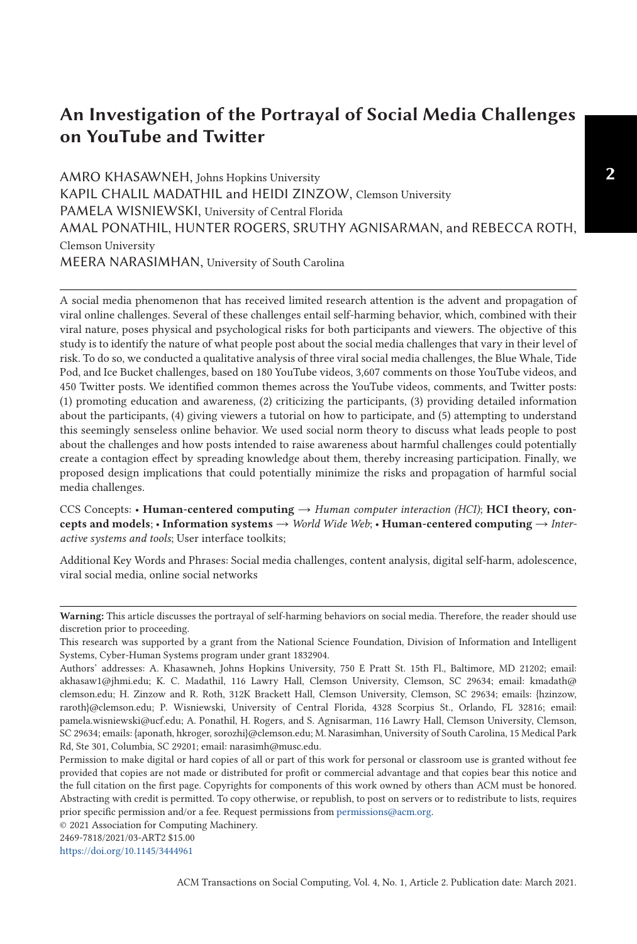# **An Investigation of the Portrayal of Social Media Challenges on YouTube and Twitter**

AMRO KHASAWNEH, Johns Hopkins University KAPIL CHALIL MADATHIL and HEIDI ZINZOW, Clemson University PAMELA WISNIEWSKI, University of Central Florida AMAL PONATHIL, HUNTER ROGERS, SRUTHY AGNISARMAN, and REBECCA ROTH, Clemson University MEERA NARASIMHAN, University of South Carolina

A social media phenomenon that has received limited research attention is the advent and propagation of viral online challenges. Several of these challenges entail self-harming behavior, which, combined with their viral nature, poses physical and psychological risks for both participants and viewers. The objective of this study is to identify the nature of what people post about the social media challenges that vary in their level of risk. To do so, we conducted a qualitative analysis of three viral social media challenges, the Blue Whale, Tide Pod, and Ice Bucket challenges, based on 180 YouTube videos, 3,607 comments on those YouTube videos, and 450 Twitter posts. We identified common themes across the YouTube videos, comments, and Twitter posts: (1) promoting education and awareness, (2) criticizing the participants, (3) providing detailed information about the participants, (4) giving viewers a tutorial on how to participate, and (5) attempting to understand this seemingly senseless online behavior. We used social norm theory to discuss what leads people to post about the challenges and how posts intended to raise awareness about harmful challenges could potentially create a contagion effect by spreading knowledge about them, thereby increasing participation. Finally, we proposed design implications that could potentially minimize the risks and propagation of harmful social media challenges.

CCS Concepts: • **Human-centered computing** → *Human computer interaction (HCI)*; **HCI theory, concepts and models**; • **Information systems** → *World Wide Web*; • **Human-centered computing** → *Interactive systems and tools*; User interface toolkits;

Additional Key Words and Phrases: Social media challenges, content analysis, digital self-harm, adolescence, viral social media, online social networks

© 2021 Association for Computing Machinery.

2469-7818/2021/03-ART2 \$15.00

<https://doi.org/10.1145/3444961>

**Warning:** This article discusses the portrayal of self-harming behaviors on social media. Therefore, the reader should use discretion prior to proceeding.

This research was supported by a grant from the National Science Foundation, Division of Information and Intelligent Systems, Cyber-Human Systems program under grant 1832904.

Authors' addresses: A. Khasawneh, Johns Hopkins University, 750 E Pratt St. 15th Fl., Baltimore, MD 21202; email: akhasaw1@jhmi.edu; K. C. Madathil, 116 Lawry Hall, Clemson University, Clemson, SC 29634; email: kmadath@ clemson.edu; H. Zinzow and R. Roth, 312K Brackett Hall, Clemson University, Clemson, SC 29634; emails: {hzinzow, raroth}@clemson.edu; P. Wisniewski, University of Central Florida, 4328 Scorpius St., Orlando, FL 32816; email: pamela.wisniewski@ucf.edu; A. Ponathil, H. Rogers, and S. Agnisarman, 116 Lawry Hall, Clemson University, Clemson, SC 29634; emails: {aponath, hkroger, sorozhi}@clemson.edu; M. Narasimhan, University of South Carolina, 15 Medical Park Rd, Ste 301, Columbia, SC 29201; email: narasimh@musc.edu.

Permission to make digital or hard copies of all or part of this work for personal or classroom use is granted without fee provided that copies are not made or distributed for profit or commercial advantage and that copies bear this notice and the full citation on the first page. Copyrights for components of this work owned by others than ACM must be honored. Abstracting with credit is permitted. To copy otherwise, or republish, to post on servers or to redistribute to lists, requires prior specific permission and/or a fee. Request permissions from [permissions@acm.org.](mailto:permissions@acm.org)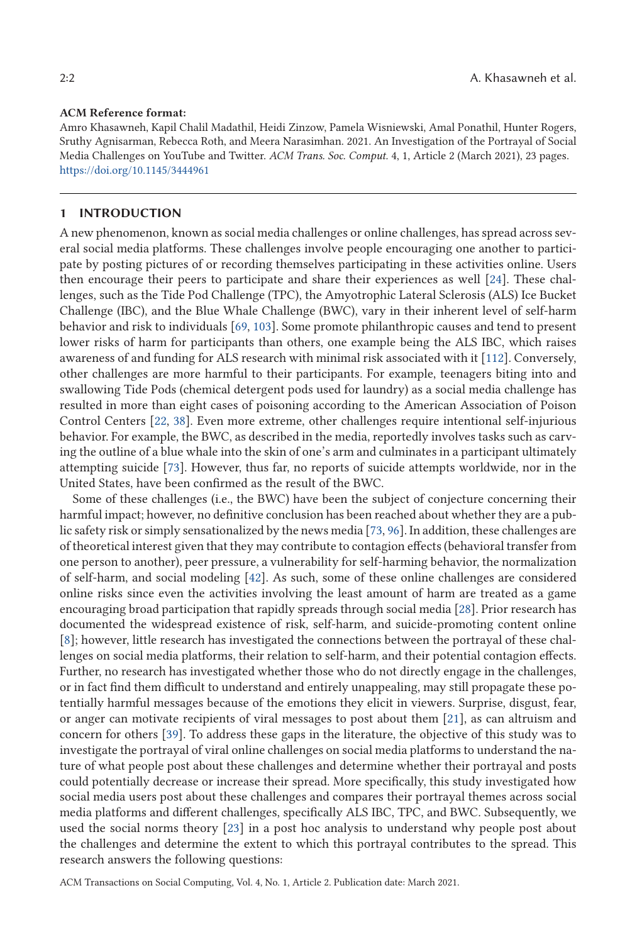### **ACM Reference format:**

Amro Khasawneh, Kapil Chalil Madathil, Heidi Zinzow, Pamela Wisniewski, Amal Ponathil, Hunter Rogers, Sruthy Agnisarman, Rebecca Roth, and Meera Narasimhan. 2021. An Investigation of the Portrayal of Social Media Challenges on YouTube and Twitter. *ACM Trans. Soc. Comput.* 4, 1, Article 2 (March 2021), 23 pages. <https://doi.org/10.1145/3444961>

#### **1 INTRODUCTION**

A new phenomenon, known as social media challenges or online challenges, has spread across several social media platforms. These challenges involve people encouraging one another to participate by posting pictures of or recording themselves participating in these activities online. Users then encourage their peers to participate and share their experiences as well [\[24\]](#page-19-0). These challenges, such as the Tide Pod Challenge (TPC), the Amyotrophic Lateral Sclerosis (ALS) Ice Bucket Challenge (IBC), and the Blue Whale Challenge (BWC), vary in their inherent level of self-harm behavior and risk to individuals [\[69,](#page-21-0) [103\]](#page-22-0). Some promote philanthropic causes and tend to present lower risks of harm for participants than others, one example being the ALS IBC, which raises awareness of and funding for ALS research with minimal risk associated with it [\[112\]](#page-22-0). Conversely, other challenges are more harmful to their participants. For example, teenagers biting into and swallowing Tide Pods (chemical detergent pods used for laundry) as a social media challenge has resulted in more than eight cases of poisoning according to the American Association of Poison Control Centers [\[22,](#page-19-0) [38\]](#page-19-0). Even more extreme, other challenges require intentional self-injurious behavior. For example, the BWC, as described in the media, reportedly involves tasks such as carving the outline of a blue whale into the skin of one's arm and culminates in a participant ultimately attempting suicide [\[73\]](#page-21-0). However, thus far, no reports of suicide attempts worldwide, nor in the United States, have been confirmed as the result of the BWC.

Some of these challenges (i.e., the BWC) have been the subject of conjecture concerning their harmful impact; however, no definitive conclusion has been reached about whether they are a public safety risk or simply sensationalized by the news media [\[73,](#page-21-0) [96\]](#page-22-0). In addition, these challenges are of theoretical interest given that they may contribute to contagion effects (behavioral transfer from one person to another), peer pressure, a vulnerability for self-harming behavior, the normalization of self-harm, and social modeling [\[42\]](#page-19-0). As such, some of these online challenges are considered online risks since even the activities involving the least amount of harm are treated as a game encouraging broad participation that rapidly spreads through social media [\[28\]](#page-19-0). Prior research has documented the widespread existence of risk, self-harm, and suicide-promoting content online [\[8\]](#page-18-0); however, little research has investigated the connections between the portrayal of these challenges on social media platforms, their relation to self-harm, and their potential contagion effects. Further, no research has investigated whether those who do not directly engage in the challenges, or in fact find them difficult to understand and entirely unappealing, may still propagate these potentially harmful messages because of the emotions they elicit in viewers. Surprise, disgust, fear, or anger can motivate recipients of viral messages to post about them [\[21\]](#page-19-0), as can altruism and concern for others [\[39\]](#page-19-0). To address these gaps in the literature, the objective of this study was to investigate the portrayal of viral online challenges on social media platforms to understand the nature of what people post about these challenges and determine whether their portrayal and posts could potentially decrease or increase their spread. More specifically, this study investigated how social media users post about these challenges and compares their portrayal themes across social media platforms and different challenges, specifically ALS IBC, TPC, and BWC. Subsequently, we used the social norms theory [\[23\]](#page-19-0) in a post hoc analysis to understand why people post about the challenges and determine the extent to which this portrayal contributes to the spread. This research answers the following questions: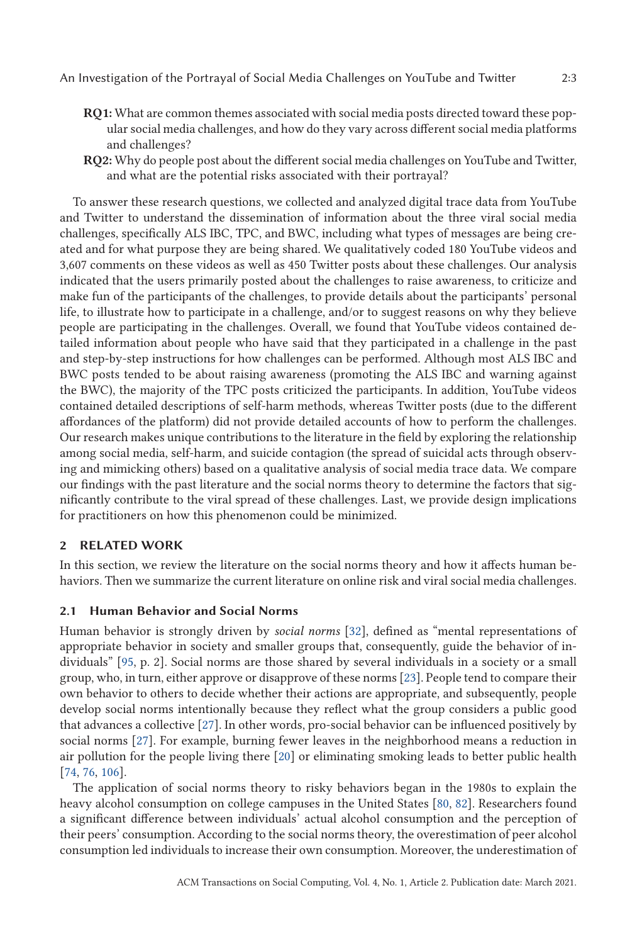- **RQ1:** What are common themes associated with social media posts directed toward these popular social media challenges, and how do they vary across different social media platforms and challenges?
- **RQ2:** Why do people post about the different social media challenges on YouTube and Twitter, and what are the potential risks associated with their portrayal?

To answer these research questions, we collected and analyzed digital trace data from YouTube and Twitter to understand the dissemination of information about the three viral social media challenges, specifically ALS IBC, TPC, and BWC, including what types of messages are being created and for what purpose they are being shared. We qualitatively coded 180 YouTube videos and 3,607 comments on these videos as well as 450 Twitter posts about these challenges. Our analysis indicated that the users primarily posted about the challenges to raise awareness, to criticize and make fun of the participants of the challenges, to provide details about the participants' personal life, to illustrate how to participate in a challenge, and/or to suggest reasons on why they believe people are participating in the challenges. Overall, we found that YouTube videos contained detailed information about people who have said that they participated in a challenge in the past and step-by-step instructions for how challenges can be performed. Although most ALS IBC and BWC posts tended to be about raising awareness (promoting the ALS IBC and warning against the BWC), the majority of the TPC posts criticized the participants. In addition, YouTube videos contained detailed descriptions of self-harm methods, whereas Twitter posts (due to the different affordances of the platform) did not provide detailed accounts of how to perform the challenges. Our research makes unique contributions to the literature in the field by exploring the relationship among social media, self-harm, and suicide contagion (the spread of suicidal acts through observing and mimicking others) based on a qualitative analysis of social media trace data. We compare our findings with the past literature and the social norms theory to determine the factors that significantly contribute to the viral spread of these challenges. Last, we provide design implications for practitioners on how this phenomenon could be minimized.

## **2 RELATED WORK**

In this section, we review the literature on the social norms theory and how it affects human behaviors. Then we summarize the current literature on online risk and viral social media challenges.

## **2.1 Human Behavior and Social Norms**

Human behavior is strongly driven by *social norms* [\[32\]](#page-19-0), defined as "mental representations of appropriate behavior in society and smaller groups that, consequently, guide the behavior of individuals" [\[95,](#page-22-0) p. 2]. Social norms are those shared by several individuals in a society or a small group, who, in turn, either approve or disapprove of these norms [\[23\]](#page-19-0). People tend to compare their own behavior to others to decide whether their actions are appropriate, and subsequently, people develop social norms intentionally because they reflect what the group considers a public good that advances a collective [\[27\]](#page-19-0). In other words, pro-social behavior can be influenced positively by social norms [\[27\]](#page-19-0). For example, burning fewer leaves in the neighborhood means a reduction in air pollution for the people living there [\[20\]](#page-19-0) or eliminating smoking leads to better public health [\[74,](#page-21-0) [76,](#page-21-0) [106\]](#page-22-0).

The application of social norms theory to risky behaviors began in the 1980s to explain the heavy alcohol consumption on college campuses in the United States [\[80,](#page-21-0) [82\]](#page-21-0). Researchers found a significant difference between individuals' actual alcohol consumption and the perception of their peers' consumption. According to the social norms theory, the overestimation of peer alcohol consumption led individuals to increase their own consumption. Moreover, the underestimation of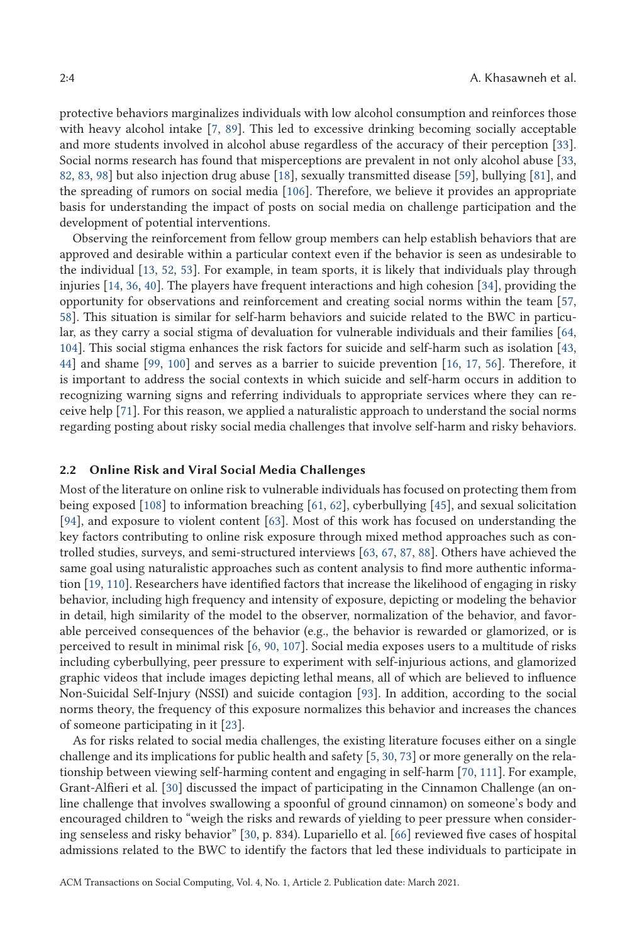protective behaviors marginalizes individuals with low alcohol consumption and reinforces those with heavy alcohol intake [\[7,](#page-18-0) [89\]](#page-21-0). This led to excessive drinking becoming socially acceptable and more students involved in alcohol abuse regardless of the accuracy of their perception [\[33\]](#page-19-0). Social norms research has found that misperceptions are prevalent in not only alcohol abuse [\[33,](#page-19-0) [82,](#page-21-0) [83,](#page-21-0) [98\]](#page-22-0) but also injection drug abuse [\[18\]](#page-19-0), sexually transmitted disease [\[59\]](#page-20-0), bullying [\[81\]](#page-21-0), and the spreading of rumors on social media [\[106\]](#page-22-0). Therefore, we believe it provides an appropriate basis for understanding the impact of posts on social media on challenge participation and the development of potential interventions.

Observing the reinforcement from fellow group members can help establish behaviors that are approved and desirable within a particular context even if the behavior is seen as undesirable to the individual [\[13,](#page-18-0) [52,](#page-20-0) [53\]](#page-20-0). For example, in team sports, it is likely that individuals play through injuries [\[14,](#page-18-0) [36,](#page-19-0) [40\]](#page-19-0). The players have frequent interactions and high cohesion [\[34\]](#page-19-0), providing the opportunity for observations and reinforcement and creating social norms within the team [\[57,](#page-20-0) [58\]](#page-20-0). This situation is similar for self-harm behaviors and suicide related to the BWC in particular, as they carry a social stigma of devaluation for vulnerable individuals and their families [\[64,](#page-20-0) [104\]](#page-22-0). This social stigma enhances the risk factors for suicide and self-harm such as isolation [\[43,](#page-19-0) [44\]](#page-20-0) and shame [\[99,](#page-22-0) [100\]](#page-22-0) and serves as a barrier to suicide prevention [\[16,](#page-19-0) [17,](#page-19-0) [56\]](#page-20-0). Therefore, it is important to address the social contexts in which suicide and self-harm occurs in addition to recognizing warning signs and referring individuals to appropriate services where they can receive help [\[71\]](#page-21-0). For this reason, we applied a naturalistic approach to understand the social norms regarding posting about risky social media challenges that involve self-harm and risky behaviors.

## **2.2 Online Risk and Viral Social Media Challenges**

Most of the literature on online risk to vulnerable individuals has focused on protecting them from being exposed [\[108\]](#page-22-0) to information breaching [\[61,](#page-20-0) [62\]](#page-20-0), cyberbullying [\[45\]](#page-20-0), and sexual solicitation [\[94\]](#page-22-0), and exposure to violent content [\[63\]](#page-20-0). Most of this work has focused on understanding the key factors contributing to online risk exposure through mixed method approaches such as controlled studies, surveys, and semi-structured interviews [\[63,](#page-20-0) [67,](#page-21-0) [87,](#page-21-0) [88\]](#page-21-0). Others have achieved the same goal using naturalistic approaches such as content analysis to find more authentic information [\[19,](#page-19-0) [110\]](#page-22-0). Researchers have identified factors that increase the likelihood of engaging in risky behavior, including high frequency and intensity of exposure, depicting or modeling the behavior in detail, high similarity of the model to the observer, normalization of the behavior, and favorable perceived consequences of the behavior (e.g., the behavior is rewarded or glamorized, or is perceived to result in minimal risk [\[6,](#page-18-0) [90,](#page-21-0) [107\]](#page-22-0). Social media exposes users to a multitude of risks including cyberbullying, peer pressure to experiment with self-injurious actions, and glamorized graphic videos that include images depicting lethal means, all of which are believed to influence Non-Suicidal Self-Injury (NSSI) and suicide contagion [\[93\]](#page-22-0). In addition, according to the social norms theory, the frequency of this exposure normalizes this behavior and increases the chances of someone participating in it [\[23\]](#page-19-0).

As for risks related to social media challenges, the existing literature focuses either on a single challenge and its implications for public health and safety [\[5,](#page-18-0) [30,](#page-19-0) [73\]](#page-21-0) or more generally on the relationship between viewing self-harming content and engaging in self-harm [\[70,](#page-21-0) [111\]](#page-22-0). For example, Grant-Alfieri et al. [\[30\]](#page-19-0) discussed the impact of participating in the Cinnamon Challenge (an online challenge that involves swallowing a spoonful of ground cinnamon) on someone's body and encouraged children to "weigh the risks and rewards of yielding to peer pressure when considering senseless and risky behavior" [\[30,](#page-19-0) p. 834). Lupariello et al. [\[66\]](#page-20-0) reviewed five cases of hospital admissions related to the BWC to identify the factors that led these individuals to participate in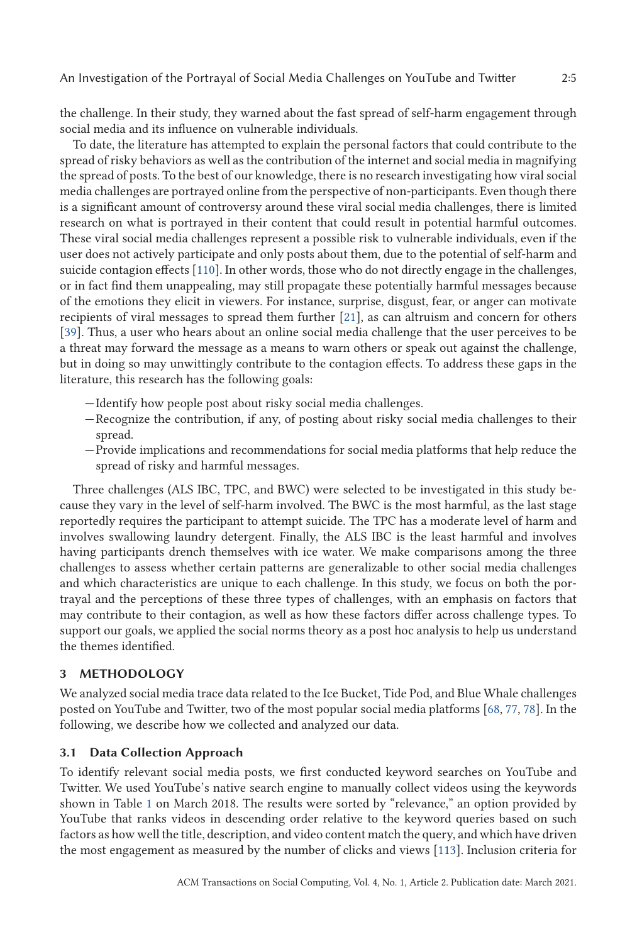the challenge. In their study, they warned about the fast spread of self-harm engagement through social media and its influence on vulnerable individuals.

To date, the literature has attempted to explain the personal factors that could contribute to the spread of risky behaviors as well as the contribution of the internet and social media in magnifying the spread of posts. To the best of our knowledge, there is no research investigating how viral social media challenges are portrayed online from the perspective of non-participants. Even though there is a significant amount of controversy around these viral social media challenges, there is limited research on what is portrayed in their content that could result in potential harmful outcomes. These viral social media challenges represent a possible risk to vulnerable individuals, even if the user does not actively participate and only posts about them, due to the potential of self-harm and suicide contagion effects [\[110\]](#page-22-0). In other words, those who do not directly engage in the challenges, or in fact find them unappealing, may still propagate these potentially harmful messages because of the emotions they elicit in viewers. For instance, surprise, disgust, fear, or anger can motivate recipients of viral messages to spread them further [\[21\]](#page-19-0), as can altruism and concern for others [\[39\]](#page-19-0). Thus, a user who hears about an online social media challenge that the user perceives to be a threat may forward the message as a means to warn others or speak out against the challenge, but in doing so may unwittingly contribute to the contagion effects. To address these gaps in the literature, this research has the following goals:

- —Identify how people post about risky social media challenges.
- —Recognize the contribution, if any, of posting about risky social media challenges to their spread.
- —Provide implications and recommendations for social media platforms that help reduce the spread of risky and harmful messages.

Three challenges (ALS IBC, TPC, and BWC) were selected to be investigated in this study because they vary in the level of self-harm involved. The BWC is the most harmful, as the last stage reportedly requires the participant to attempt suicide. The TPC has a moderate level of harm and involves swallowing laundry detergent. Finally, the ALS IBC is the least harmful and involves having participants drench themselves with ice water. We make comparisons among the three challenges to assess whether certain patterns are generalizable to other social media challenges and which characteristics are unique to each challenge. In this study, we focus on both the portrayal and the perceptions of these three types of challenges, with an emphasis on factors that may contribute to their contagion, as well as how these factors differ across challenge types. To support our goals, we applied the social norms theory as a post hoc analysis to help us understand the themes identified.

## **3 METHODOLOGY**

We analyzed social media trace data related to the Ice Bucket, Tide Pod, and Blue Whale challenges posted on YouTube and Twitter, two of the most popular social media platforms [\[68,](#page-21-0) [77,](#page-21-0) [78\]](#page-21-0). In the following, we describe how we collected and analyzed our data.

## **3.1 Data Collection Approach**

To identify relevant social media posts, we first conducted keyword searches on YouTube and Twitter. We used YouTube's native search engine to manually collect videos using the keywords shown in Table [1](#page-5-0) on March 2018. The results were sorted by "relevance," an option provided by YouTube that ranks videos in descending order relative to the keyword queries based on such factors as how well the title, description, and video content match the query, and which have driven the most engagement as measured by the number of clicks and views [\[113\]](#page-22-0). Inclusion criteria for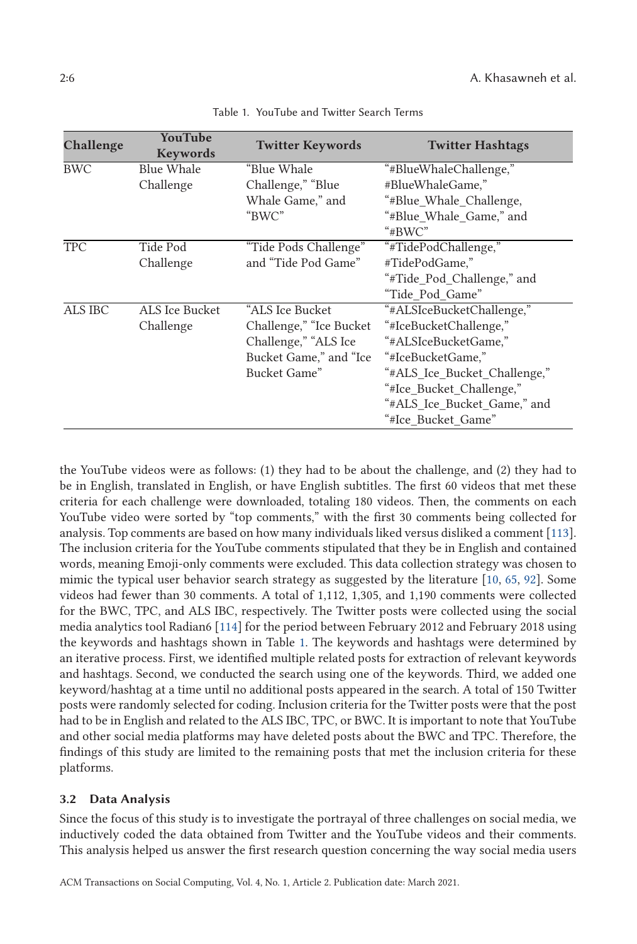<span id="page-5-0"></span>

| Challenge  | <b>YouTube</b><br><b>Keywords</b> | <b>Twitter Keywords</b> | <b>Twitter Hashtags</b>      |
|------------|-----------------------------------|-------------------------|------------------------------|
| <b>BWC</b> | Blue Whale                        | "Blue Whale             | "#BlueWhaleChallenge,"       |
|            | Challenge                         | Challenge," "Blue       | #BlueWhaleGame,"             |
|            |                                   | Whale Game," and        | "#Blue Whale Challenge,      |
|            |                                   | "BWC"                   | "#Blue Whale Game," and      |
|            |                                   |                         | " $#BWC"$                    |
| <b>TPC</b> | Tide Pod                          | "Tide Pods Challenge"   | "#TidePodChallenge,"         |
|            | Challenge                         | and "Tide Pod Game"     | #TidePodGame,"               |
|            |                                   |                         | "#Tide_Pod_Challenge," and   |
|            |                                   |                         | "Tide Pod Game"              |
| ALS IBC    | ALS Ice Bucket                    | "ALS Ice Bucket         | "#ALSIceBucketChallenge,"    |
|            | Challenge                         | Challenge," "Ice Bucket | "#IceBucketChallenge,"       |
|            |                                   | Challenge," "ALS Ice    | "#ALSIceBucketGame,"         |
|            |                                   | Bucket Game," and "Ice  | "#IceBucketGame,"            |
|            |                                   | Bucket Game"            | "#ALS Ice Bucket Challenge," |
|            |                                   |                         | "#Ice Bucket Challenge,"     |
|            |                                   |                         | "#ALS Ice Bucket Game," and  |
|            |                                   |                         | "#Ice Bucket Game"           |

Table 1. YouTube and Twitter Search Terms

the YouTube videos were as follows: (1) they had to be about the challenge, and (2) they had to be in English, translated in English, or have English subtitles. The first 60 videos that met these criteria for each challenge were downloaded, totaling 180 videos. Then, the comments on each YouTube video were sorted by "top comments," with the first 30 comments being collected for analysis. Top comments are based on how many individuals liked versus disliked a comment [\[113\]](#page-22-0). The inclusion criteria for the YouTube comments stipulated that they be in English and contained words, meaning Emoji-only comments were excluded. This data collection strategy was chosen to mimic the typical user behavior search strategy as suggested by the literature [\[10,](#page-18-0) [65,](#page-20-0) [92\]](#page-22-0). Some videos had fewer than 30 comments. A total of 1,112, 1,305, and 1,190 comments were collected for the BWC, TPC, and ALS IBC, respectively. The Twitter posts were collected using the social media analytics tool Radian6 [\[114\]](#page-22-0) for the period between February 2012 and February 2018 using the keywords and hashtags shown in Table 1. The keywords and hashtags were determined by an iterative process. First, we identified multiple related posts for extraction of relevant keywords and hashtags. Second, we conducted the search using one of the keywords. Third, we added one keyword/hashtag at a time until no additional posts appeared in the search. A total of 150 Twitter posts were randomly selected for coding. Inclusion criteria for the Twitter posts were that the post had to be in English and related to the ALS IBC, TPC, or BWC. It is important to note that YouTube and other social media platforms may have deleted posts about the BWC and TPC. Therefore, the findings of this study are limited to the remaining posts that met the inclusion criteria for these platforms.

# **3.2 Data Analysis**

Since the focus of this study is to investigate the portrayal of three challenges on social media, we inductively coded the data obtained from Twitter and the YouTube videos and their comments. This analysis helped us answer the first research question concerning the way social media users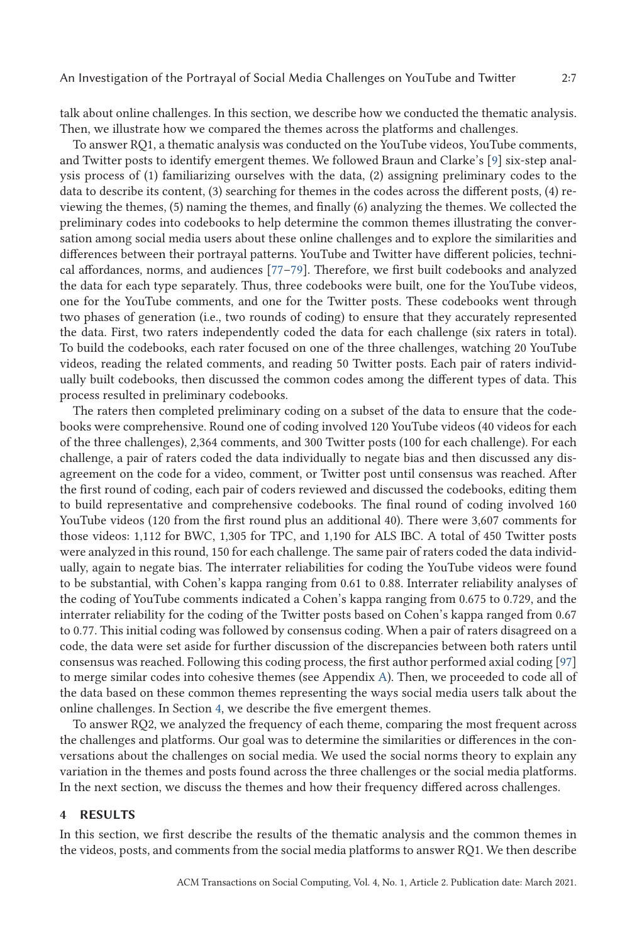<span id="page-6-0"></span>talk about online challenges. In this section, we describe how we conducted the thematic analysis. Then, we illustrate how we compared the themes across the platforms and challenges.

To answer RQ1, a thematic analysis was conducted on the YouTube videos, YouTube comments, and Twitter posts to identify emergent themes. We followed Braun and Clarke's [\[9\]](#page-18-0) six-step analysis process of (1) familiarizing ourselves with the data, (2) assigning preliminary codes to the data to describe its content, (3) searching for themes in the codes across the different posts, (4) reviewing the themes, (5) naming the themes, and finally (6) analyzing the themes. We collected the preliminary codes into codebooks to help determine the common themes illustrating the conversation among social media users about these online challenges and to explore the similarities and differences between their portrayal patterns. YouTube and Twitter have different policies, technical affordances, norms, and audiences [\[77–79\]](#page-21-0). Therefore, we first built codebooks and analyzed the data for each type separately. Thus, three codebooks were built, one for the YouTube videos, one for the YouTube comments, and one for the Twitter posts. These codebooks went through two phases of generation (i.e., two rounds of coding) to ensure that they accurately represented the data. First, two raters independently coded the data for each challenge (six raters in total). To build the codebooks, each rater focused on one of the three challenges, watching 20 YouTube videos, reading the related comments, and reading 50 Twitter posts. Each pair of raters individually built codebooks, then discussed the common codes among the different types of data. This process resulted in preliminary codebooks.

The raters then completed preliminary coding on a subset of the data to ensure that the codebooks were comprehensive. Round one of coding involved 120 YouTube videos (40 videos for each of the three challenges), 2,364 comments, and 300 Twitter posts (100 for each challenge). For each challenge, a pair of raters coded the data individually to negate bias and then discussed any disagreement on the code for a video, comment, or Twitter post until consensus was reached. After the first round of coding, each pair of coders reviewed and discussed the codebooks, editing them to build representative and comprehensive codebooks. The final round of coding involved 160 YouTube videos (120 from the first round plus an additional 40). There were 3,607 comments for those videos: 1,112 for BWC, 1,305 for TPC, and 1,190 for ALS IBC. A total of 450 Twitter posts were analyzed in this round, 150 for each challenge. The same pair of raters coded the data individually, again to negate bias. The interrater reliabilities for coding the YouTube videos were found to be substantial, with Cohen's kappa ranging from 0.61 to 0.88. Interrater reliability analyses of the coding of YouTube comments indicated a Cohen's kappa ranging from 0.675 to 0.729, and the interrater reliability for the coding of the Twitter posts based on Cohen's kappa ranged from 0.67 to 0.77. This initial coding was followed by consensus coding. When a pair of raters disagreed on a code, the data were set aside for further discussion of the discrepancies between both raters until consensus was reached. Following this coding process, the first author performed axial coding [\[97\]](#page-22-0) to merge similar codes into cohesive themes (see Appendix [A\)](#page-17-0). Then, we proceeded to code all of the data based on these common themes representing the ways social media users talk about the online challenges. In Section 4, we describe the five emergent themes.

To answer RQ2, we analyzed the frequency of each theme, comparing the most frequent across the challenges and platforms. Our goal was to determine the similarities or differences in the conversations about the challenges on social media. We used the social norms theory to explain any variation in the themes and posts found across the three challenges or the social media platforms. In the next section, we discuss the themes and how their frequency differed across challenges.

#### **4 RESULTS**

In this section, we first describe the results of the thematic analysis and the common themes in the videos, posts, and comments from the social media platforms to answer RQ1. We then describe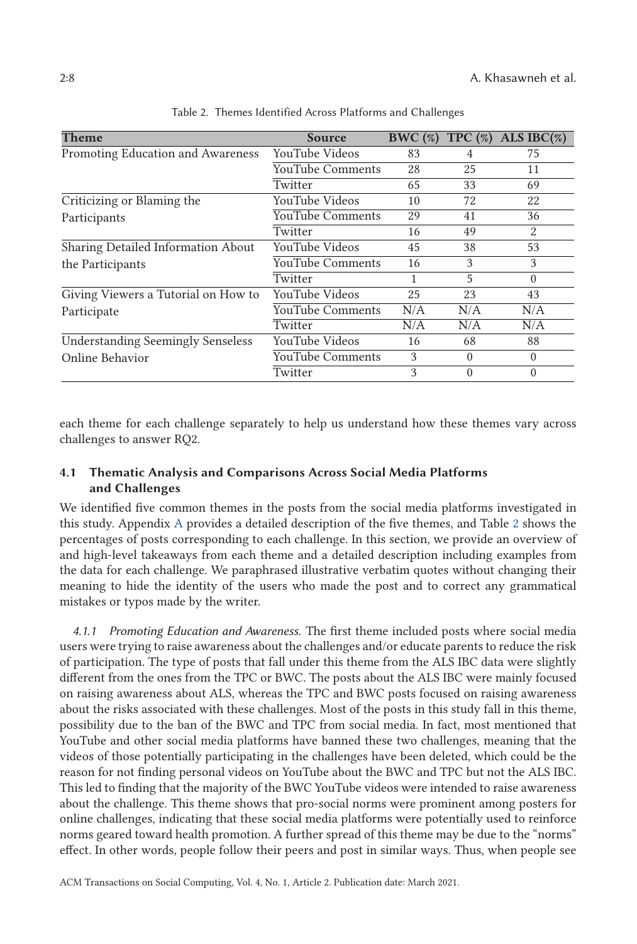| Theme                                    | <b>Source</b>           | BWC(%) | TPC $(\%)$ | ALS IBC $(\%)$ |
|------------------------------------------|-------------------------|--------|------------|----------------|
| Promoting Education and Awareness        | YouTube Videos          | 83     | 4          | 75             |
|                                          | <b>YouTube Comments</b> | 28     | 25         | 11             |
|                                          | Twitter                 | 65     | 33         | 69             |
| Criticizing or Blaming the               | YouTube Videos          | 10     | 72         | 22             |
| Participants                             | <b>YouTube Comments</b> | 29     | 41         | 36             |
|                                          | Twitter                 | 16     | 49         | 2              |
| Sharing Detailed Information About       | YouTube Videos          | 45     | 38         | 53             |
| the Participants                         | YouTube Comments        | 16     | 3          | 3              |
|                                          | Twitter                 | 1      | 5          | $\Omega$       |
| Giving Viewers a Tutorial on How to      | YouTube Videos          | 25     | 23         | 43             |
| Participate                              | YouTube Comments        | N/A    | N/A        | N/A            |
|                                          | Twitter                 | N/A    | N/A        | N/A            |
| <b>Understanding Seemingly Senseless</b> | YouTube Videos          | 16     | 68         | 88             |
| Online Behavior                          | YouTube Comments        | 3      | $\Omega$   | $\Omega$       |
|                                          | Twitter                 | 3      | $\Omega$   | $\Omega$       |

Table 2. Themes Identified Across Platforms and Challenges

each theme for each challenge separately to help us understand how these themes vary across challenges to answer RQ2.

# **4.1 Thematic Analysis and Comparisons Across Social Media Platforms and Challenges**

We identified five common themes in the posts from the social media platforms investigated in this study. Appendix [A](#page-17-0) provides a detailed description of the five themes, and Table 2 shows the percentages of posts corresponding to each challenge. In this section, we provide an overview of and high-level takeaways from each theme and a detailed description including examples from the data for each challenge. We paraphrased illustrative verbatim quotes without changing their meaning to hide the identity of the users who made the post and to correct any grammatical mistakes or typos made by the writer.

*4.1.1 Promoting Education and Awareness.* The first theme included posts where social media users were trying to raise awareness about the challenges and/or educate parents to reduce the risk of participation. The type of posts that fall under this theme from the ALS IBC data were slightly different from the ones from the TPC or BWC. The posts about the ALS IBC were mainly focused on raising awareness about ALS, whereas the TPC and BWC posts focused on raising awareness about the risks associated with these challenges. Most of the posts in this study fall in this theme, possibility due to the ban of the BWC and TPC from social media. In fact, most mentioned that YouTube and other social media platforms have banned these two challenges, meaning that the videos of those potentially participating in the challenges have been deleted, which could be the reason for not finding personal videos on YouTube about the BWC and TPC but not the ALS IBC. This led to finding that the majority of the BWC YouTube videos were intended to raise awareness about the challenge. This theme shows that pro-social norms were prominent among posters for online challenges, indicating that these social media platforms were potentially used to reinforce norms geared toward health promotion. A further spread of this theme may be due to the "norms" effect. In other words, people follow their peers and post in similar ways. Thus, when people see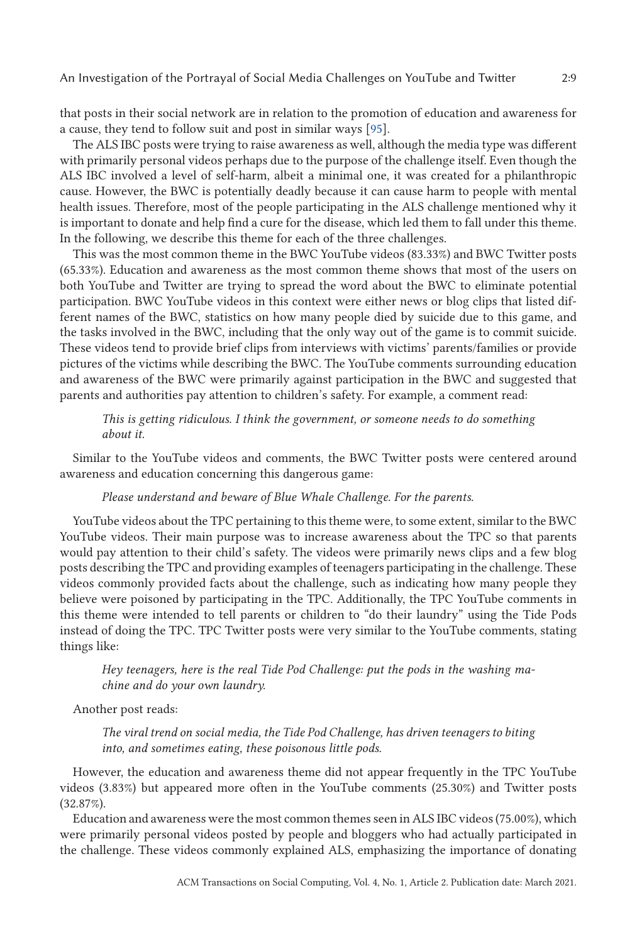that posts in their social network are in relation to the promotion of education and awareness for a cause, they tend to follow suit and post in similar ways [\[95\]](#page-22-0).

The ALS IBC posts were trying to raise awareness as well, although the media type was different with primarily personal videos perhaps due to the purpose of the challenge itself. Even though the ALS IBC involved a level of self-harm, albeit a minimal one, it was created for a philanthropic cause. However, the BWC is potentially deadly because it can cause harm to people with mental health issues. Therefore, most of the people participating in the ALS challenge mentioned why it is important to donate and help find a cure for the disease, which led them to fall under this theme. In the following, we describe this theme for each of the three challenges.

This was the most common theme in the BWC YouTube videos (83.33%) and BWC Twitter posts (65.33%). Education and awareness as the most common theme shows that most of the users on both YouTube and Twitter are trying to spread the word about the BWC to eliminate potential participation. BWC YouTube videos in this context were either news or blog clips that listed different names of the BWC, statistics on how many people died by suicide due to this game, and the tasks involved in the BWC, including that the only way out of the game is to commit suicide. These videos tend to provide brief clips from interviews with victims' parents/families or provide pictures of the victims while describing the BWC. The YouTube comments surrounding education and awareness of the BWC were primarily against participation in the BWC and suggested that parents and authorities pay attention to children's safety. For example, a comment read:

*This is getting ridiculous. I think the government, or someone needs to do something about it.*

Similar to the YouTube videos and comments, the BWC Twitter posts were centered around awareness and education concerning this dangerous game:

## *Please understand and beware of Blue Whale Challenge. For the parents.*

YouTube videos about the TPC pertaining to this theme were, to some extent, similar to the BWC YouTube videos. Their main purpose was to increase awareness about the TPC so that parents would pay attention to their child's safety. The videos were primarily news clips and a few blog posts describing the TPC and providing examples of teenagers participating in the challenge. These videos commonly provided facts about the challenge, such as indicating how many people they believe were poisoned by participating in the TPC. Additionally, the TPC YouTube comments in this theme were intended to tell parents or children to "do their laundry" using the Tide Pods instead of doing the TPC. TPC Twitter posts were very similar to the YouTube comments, stating things like:

*Hey teenagers, here is the real Tide Pod Challenge: put the pods in the washing machine and do your own laundry.*

Another post reads:

*The viral trend on social media, the Tide Pod Challenge, has driven teenagers to biting into, and sometimes eating, these poisonous little pods.*

However, the education and awareness theme did not appear frequently in the TPC YouTube videos (3.83%) but appeared more often in the YouTube comments (25.30%) and Twitter posts (32.87%).

Education and awareness were the most common themes seen in ALS IBC videos (75.00%), which were primarily personal videos posted by people and bloggers who had actually participated in the challenge. These videos commonly explained ALS, emphasizing the importance of donating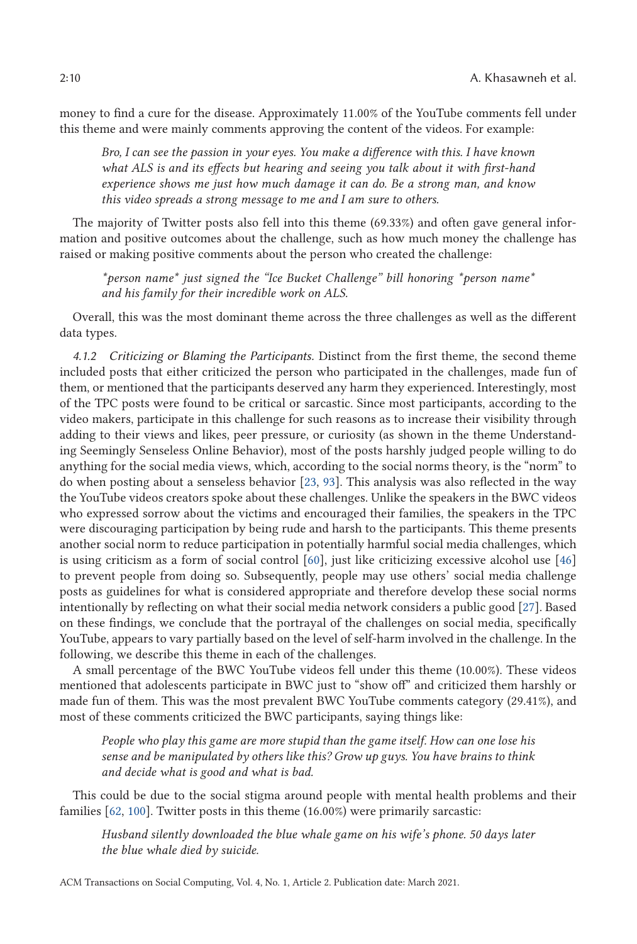money to find a cure for the disease. Approximately 11.00% of the YouTube comments fell under this theme and were mainly comments approving the content of the videos. For example:

*Bro, I can see the passion in your eyes. You make a difference with this. I have known what ALS is and its effects but hearing and seeing you talk about it with first-hand experience shows me just how much damage it can do. Be a strong man, and know this video spreads a strong message to me and I am sure to others.*

The majority of Twitter posts also fell into this theme (69.33%) and often gave general information and positive outcomes about the challenge, such as how much money the challenge has raised or making positive comments about the person who created the challenge:

*\*person name\* just signed the "Ice Bucket Challenge" bill honoring \*person name\* and his family for their incredible work on ALS.*

Overall, this was the most dominant theme across the three challenges as well as the different data types.

*4.1.2 Criticizing or Blaming the Participants.* Distinct from the first theme, the second theme included posts that either criticized the person who participated in the challenges, made fun of them, or mentioned that the participants deserved any harm they experienced. Interestingly, most of the TPC posts were found to be critical or sarcastic. Since most participants, according to the video makers, participate in this challenge for such reasons as to increase their visibility through adding to their views and likes, peer pressure, or curiosity (as shown in the theme Understanding Seemingly Senseless Online Behavior), most of the posts harshly judged people willing to do anything for the social media views, which, according to the social norms theory, is the "norm" to do when posting about a senseless behavior [\[23,](#page-19-0) [93\]](#page-22-0). This analysis was also reflected in the way the YouTube videos creators spoke about these challenges. Unlike the speakers in the BWC videos who expressed sorrow about the victims and encouraged their families, the speakers in the TPC were discouraging participation by being rude and harsh to the participants. This theme presents another social norm to reduce participation in potentially harmful social media challenges, which is using criticism as a form of social control [\[60\]](#page-20-0), just like criticizing excessive alcohol use [\[46\]](#page-20-0) to prevent people from doing so. Subsequently, people may use others' social media challenge posts as guidelines for what is considered appropriate and therefore develop these social norms intentionally by reflecting on what their social media network considers a public good [\[27\]](#page-19-0). Based on these findings, we conclude that the portrayal of the challenges on social media, specifically YouTube, appears to vary partially based on the level of self-harm involved in the challenge. In the following, we describe this theme in each of the challenges.

A small percentage of the BWC YouTube videos fell under this theme (10.00%). These videos mentioned that adolescents participate in BWC just to "show off" and criticized them harshly or made fun of them. This was the most prevalent BWC YouTube comments category (29.41%), and most of these comments criticized the BWC participants, saying things like:

*People who play this game are more stupid than the game itself. How can one lose his sense and be manipulated by others like this? Grow up guys. You have brains to think and decide what is good and what is bad.*

This could be due to the social stigma around people with mental health problems and their families [\[62,](#page-20-0) [100\]](#page-22-0). Twitter posts in this theme (16.00%) were primarily sarcastic:

*Husband silently downloaded the blue whale game on his wife's phone. 50 days later the blue whale died by suicide.*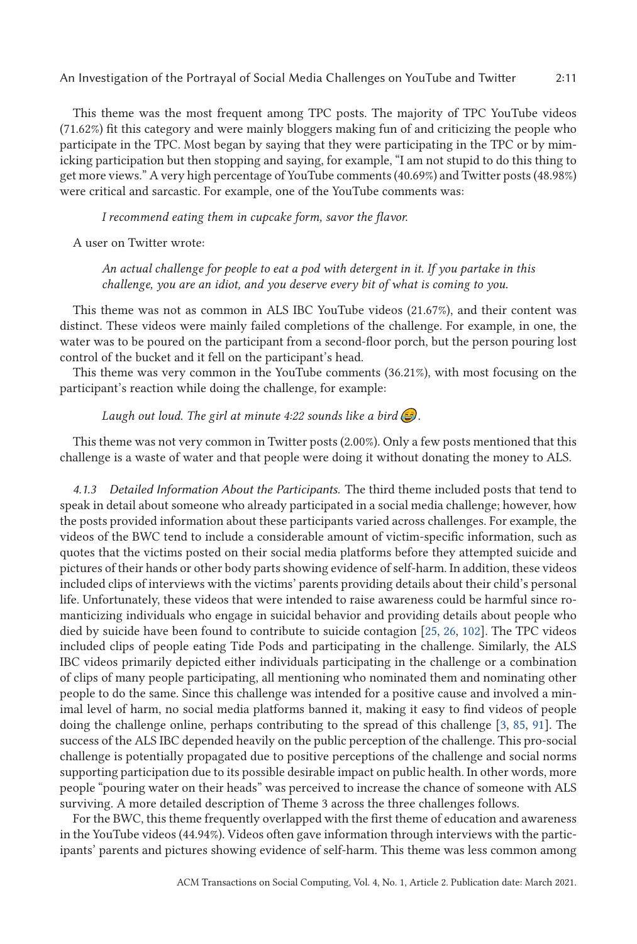This theme was the most frequent among TPC posts. The majority of TPC YouTube videos (71.62%) fit this category and were mainly bloggers making fun of and criticizing the people who participate in the TPC. Most began by saying that they were participating in the TPC or by mimicking participation but then stopping and saying, for example, "I am not stupid to do this thing to get more views." A very high percentage of YouTube comments (40.69%) and Twitter posts (48.98%) were critical and sarcastic. For example, one of the YouTube comments was:

*I recommend eating them in cupcake form, savor the flavor.*

A user on Twitter wrote:

*An actual challenge for people to eat a pod with detergent in it. If you partake in this challenge, you are an idiot, and you deserve every bit of what is coming to you.*

This theme was not as common in ALS IBC YouTube videos (21.67%), and their content was distinct. These videos were mainly failed completions of the challenge. For example, in one, the water was to be poured on the participant from a second-floor porch, but the person pouring lost control of the bucket and it fell on the participant's head.

This theme was very common in the YouTube comments (36.21%), with most focusing on the participant's reaction while doing the challenge, for example:

*Laugh out loud. The girl at minute 4:22 sounds like a bird*  $\bigodot$ .

This theme was not very common in Twitter posts (2.00%). Only a few posts mentioned that this challenge is a waste of water and that people were doing it without donating the money to ALS.

*4.1.3 Detailed Information About the Participants.* The third theme included posts that tend to speak in detail about someone who already participated in a social media challenge; however, how the posts provided information about these participants varied across challenges. For example, the videos of the BWC tend to include a considerable amount of victim-specific information, such as quotes that the victims posted on their social media platforms before they attempted suicide and pictures of their hands or other body parts showing evidence of self-harm. In addition, these videos included clips of interviews with the victims' parents providing details about their child's personal life. Unfortunately, these videos that were intended to raise awareness could be harmful since romanticizing individuals who engage in suicidal behavior and providing details about people who died by suicide have been found to contribute to suicide contagion [\[25,](#page-19-0) [26,](#page-19-0) [102\]](#page-22-0). The TPC videos included clips of people eating Tide Pods and participating in the challenge. Similarly, the ALS IBC videos primarily depicted either individuals participating in the challenge or a combination of clips of many people participating, all mentioning who nominated them and nominating other people to do the same. Since this challenge was intended for a positive cause and involved a minimal level of harm, no social media platforms banned it, making it easy to find videos of people doing the challenge online, perhaps contributing to the spread of this challenge [\[3,](#page-18-0) [85,](#page-21-0) [91\]](#page-22-0). The success of the ALS IBC depended heavily on the public perception of the challenge. This pro-social challenge is potentially propagated due to positive perceptions of the challenge and social norms supporting participation due to its possible desirable impact on public health. In other words, more people "pouring water on their heads" was perceived to increase the chance of someone with ALS surviving. A more detailed description of Theme 3 across the three challenges follows.

For the BWC, this theme frequently overlapped with the first theme of education and awareness in the YouTube videos (44.94%). Videos often gave information through interviews with the participants' parents and pictures showing evidence of self-harm. This theme was less common among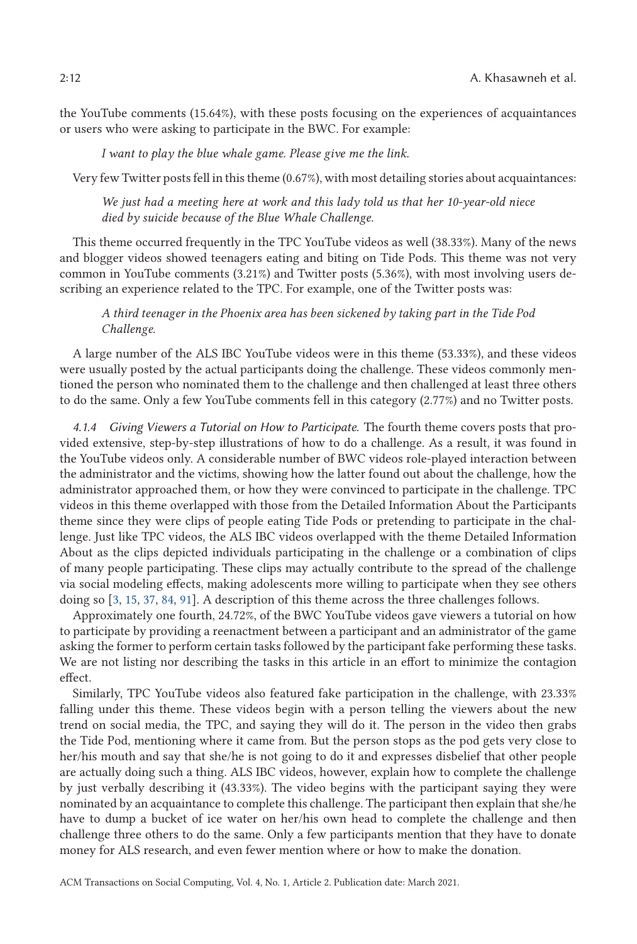the YouTube comments (15.64%), with these posts focusing on the experiences of acquaintances or users who were asking to participate in the BWC. For example:

*I want to play the blue whale game. Please give me the link.*

Very few Twitter posts fell in this theme (0.67%), with most detailing stories about acquaintances:

*We just had a meeting here at work and this lady told us that her 10-year-old niece died by suicide because of the Blue Whale Challenge.*

This theme occurred frequently in the TPC YouTube videos as well (38.33%). Many of the news and blogger videos showed teenagers eating and biting on Tide Pods. This theme was not very common in YouTube comments (3.21%) and Twitter posts (5.36%), with most involving users describing an experience related to the TPC. For example, one of the Twitter posts was:

*A third teenager in the Phoenix area has been sickened by taking part in the Tide Pod Challenge.*

A large number of the ALS IBC YouTube videos were in this theme (53.33%), and these videos were usually posted by the actual participants doing the challenge. These videos commonly mentioned the person who nominated them to the challenge and then challenged at least three others to do the same. Only a few YouTube comments fell in this category (2.77%) and no Twitter posts.

*4.1.4 Giving Viewers a Tutorial on How to Participate.* The fourth theme covers posts that provided extensive, step-by-step illustrations of how to do a challenge. As a result, it was found in the YouTube videos only. A considerable number of BWC videos role-played interaction between the administrator and the victims, showing how the latter found out about the challenge, how the administrator approached them, or how they were convinced to participate in the challenge. TPC videos in this theme overlapped with those from the Detailed Information About the Participants theme since they were clips of people eating Tide Pods or pretending to participate in the challenge. Just like TPC videos, the ALS IBC videos overlapped with the theme Detailed Information About as the clips depicted individuals participating in the challenge or a combination of clips of many people participating. These clips may actually contribute to the spread of the challenge via social modeling effects, making adolescents more willing to participate when they see others doing so [\[3,](#page-18-0) [15,](#page-18-0) [37,](#page-19-0) [84,](#page-21-0) [91\]](#page-22-0). A description of this theme across the three challenges follows.

Approximately one fourth, 24.72%, of the BWC YouTube videos gave viewers a tutorial on how to participate by providing a reenactment between a participant and an administrator of the game asking the former to perform certain tasks followed by the participant fake performing these tasks. We are not listing nor describing the tasks in this article in an effort to minimize the contagion effect.

Similarly, TPC YouTube videos also featured fake participation in the challenge, with 23.33% falling under this theme. These videos begin with a person telling the viewers about the new trend on social media, the TPC, and saying they will do it. The person in the video then grabs the Tide Pod, mentioning where it came from. But the person stops as the pod gets very close to her/his mouth and say that she/he is not going to do it and expresses disbelief that other people are actually doing such a thing. ALS IBC videos, however, explain how to complete the challenge by just verbally describing it (43.33%). The video begins with the participant saying they were nominated by an acquaintance to complete this challenge. The participant then explain that she/he have to dump a bucket of ice water on her/his own head to complete the challenge and then challenge three others to do the same. Only a few participants mention that they have to donate money for ALS research, and even fewer mention where or how to make the donation.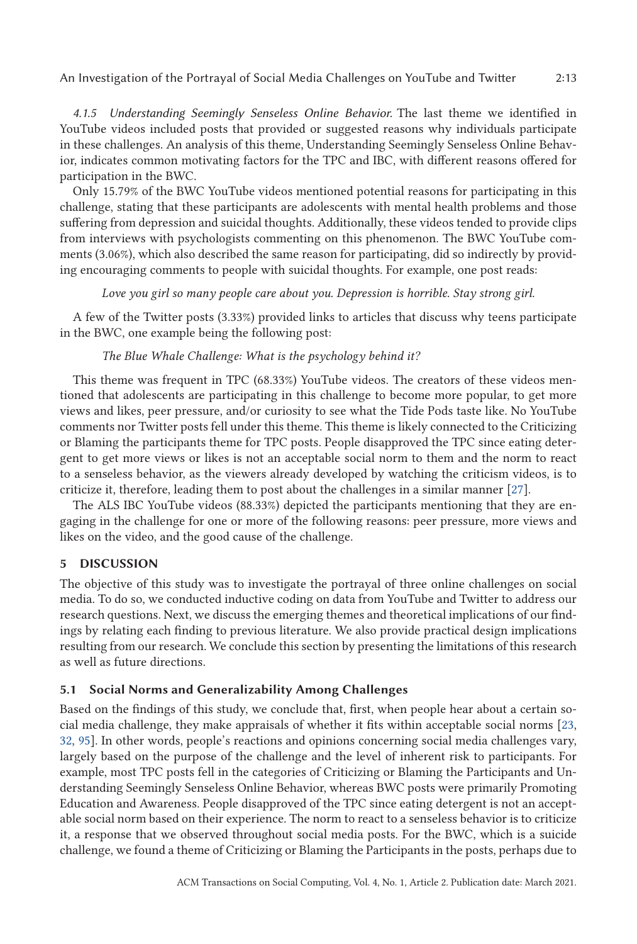*4.1.5 Understanding Seemingly Senseless Online Behavior.* The last theme we identified in YouTube videos included posts that provided or suggested reasons why individuals participate in these challenges. An analysis of this theme, Understanding Seemingly Senseless Online Behavior, indicates common motivating factors for the TPC and IBC, with different reasons offered for participation in the BWC.

Only 15.79% of the BWC YouTube videos mentioned potential reasons for participating in this challenge, stating that these participants are adolescents with mental health problems and those suffering from depression and suicidal thoughts. Additionally, these videos tended to provide clips from interviews with psychologists commenting on this phenomenon. The BWC YouTube comments (3.06%), which also described the same reason for participating, did so indirectly by providing encouraging comments to people with suicidal thoughts. For example, one post reads:

## *Love you girl so many people care about you. Depression is horrible. Stay strong girl.*

A few of the Twitter posts (3.33%) provided links to articles that discuss why teens participate in the BWC, one example being the following post:

## *The Blue Whale Challenge: What is the psychology behind it?*

This theme was frequent in TPC (68.33%) YouTube videos. The creators of these videos mentioned that adolescents are participating in this challenge to become more popular, to get more views and likes, peer pressure, and/or curiosity to see what the Tide Pods taste like. No YouTube comments nor Twitter posts fell under this theme. This theme is likely connected to the Criticizing or Blaming the participants theme for TPC posts. People disapproved the TPC since eating detergent to get more views or likes is not an acceptable social norm to them and the norm to react to a senseless behavior, as the viewers already developed by watching the criticism videos, is to criticize it, therefore, leading them to post about the challenges in a similar manner [\[27\]](#page-19-0).

The ALS IBC YouTube videos (88.33%) depicted the participants mentioning that they are engaging in the challenge for one or more of the following reasons: peer pressure, more views and likes on the video, and the good cause of the challenge.

# **5 DISCUSSION**

The objective of this study was to investigate the portrayal of three online challenges on social media. To do so, we conducted inductive coding on data from YouTube and Twitter to address our research questions. Next, we discuss the emerging themes and theoretical implications of our findings by relating each finding to previous literature. We also provide practical design implications resulting from our research. We conclude this section by presenting the limitations of this research as well as future directions.

# **5.1 Social Norms and Generalizability Among Challenges**

Based on the findings of this study, we conclude that, first, when people hear about a certain social media challenge, they make appraisals of whether it fits within acceptable social norms [\[23,](#page-19-0) [32,](#page-19-0) [95\]](#page-22-0). In other words, people's reactions and opinions concerning social media challenges vary, largely based on the purpose of the challenge and the level of inherent risk to participants. For example, most TPC posts fell in the categories of Criticizing or Blaming the Participants and Understanding Seemingly Senseless Online Behavior, whereas BWC posts were primarily Promoting Education and Awareness. People disapproved of the TPC since eating detergent is not an acceptable social norm based on their experience. The norm to react to a senseless behavior is to criticize it, a response that we observed throughout social media posts. For the BWC, which is a suicide challenge, we found a theme of Criticizing or Blaming the Participants in the posts, perhaps due to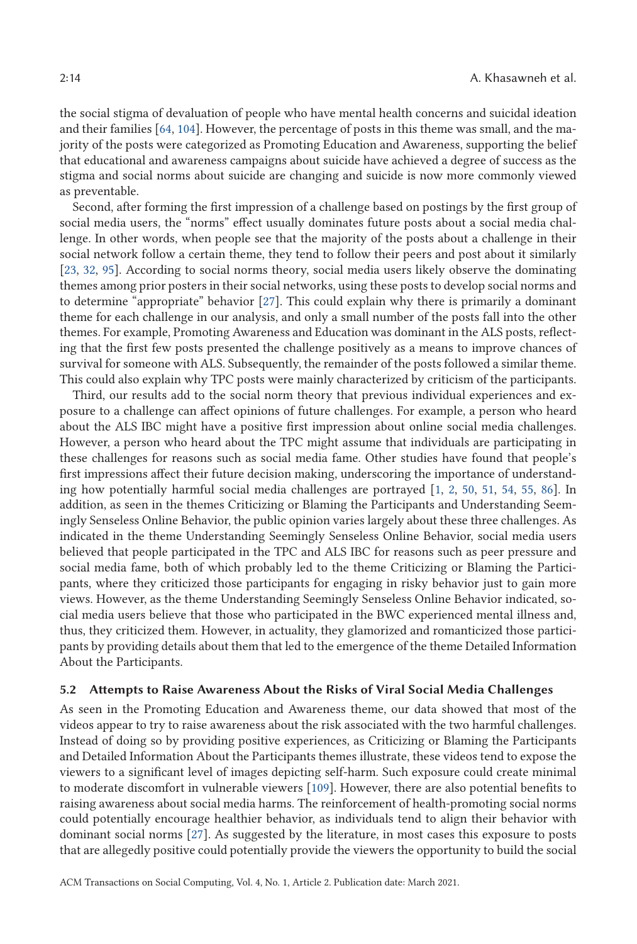the social stigma of devaluation of people who have mental health concerns and suicidal ideation and their families [\[64,](#page-20-0) [104\]](#page-22-0). However, the percentage of posts in this theme was small, and the majority of the posts were categorized as Promoting Education and Awareness, supporting the belief that educational and awareness campaigns about suicide have achieved a degree of success as the stigma and social norms about suicide are changing and suicide is now more commonly viewed as preventable.

Second, after forming the first impression of a challenge based on postings by the first group of social media users, the "norms" effect usually dominates future posts about a social media challenge. In other words, when people see that the majority of the posts about a challenge in their social network follow a certain theme, they tend to follow their peers and post about it similarly [\[23,](#page-19-0) [32,](#page-19-0) [95\]](#page-22-0). According to social norms theory, social media users likely observe the dominating themes among prior posters in their social networks, using these posts to develop social norms and to determine "appropriate" behavior [\[27\]](#page-19-0). This could explain why there is primarily a dominant theme for each challenge in our analysis, and only a small number of the posts fall into the other themes. For example, Promoting Awareness and Education was dominant in the ALS posts, reflecting that the first few posts presented the challenge positively as a means to improve chances of survival for someone with ALS. Subsequently, the remainder of the posts followed a similar theme. This could also explain why TPC posts were mainly characterized by criticism of the participants.

Third, our results add to the social norm theory that previous individual experiences and exposure to a challenge can affect opinions of future challenges. For example, a person who heard about the ALS IBC might have a positive first impression about online social media challenges. However, a person who heard about the TPC might assume that individuals are participating in these challenges for reasons such as social media fame. Other studies have found that people's first impressions affect their future decision making, underscoring the importance of understanding how potentially harmful social media challenges are portrayed [\[1,](#page-18-0) [2,](#page-18-0) [50,](#page-20-0) [51,](#page-20-0) [54,](#page-20-0) [55,](#page-20-0) [86\]](#page-21-0). In addition, as seen in the themes Criticizing or Blaming the Participants and Understanding Seemingly Senseless Online Behavior, the public opinion varies largely about these three challenges. As indicated in the theme Understanding Seemingly Senseless Online Behavior, social media users believed that people participated in the TPC and ALS IBC for reasons such as peer pressure and social media fame, both of which probably led to the theme Criticizing or Blaming the Participants, where they criticized those participants for engaging in risky behavior just to gain more views. However, as the theme Understanding Seemingly Senseless Online Behavior indicated, social media users believe that those who participated in the BWC experienced mental illness and, thus, they criticized them. However, in actuality, they glamorized and romanticized those participants by providing details about them that led to the emergence of the theme Detailed Information About the Participants.

## **5.2 Attempts to Raise Awareness About the Risks of Viral Social Media Challenges**

As seen in the Promoting Education and Awareness theme, our data showed that most of the videos appear to try to raise awareness about the risk associated with the two harmful challenges. Instead of doing so by providing positive experiences, as Criticizing or Blaming the Participants and Detailed Information About the Participants themes illustrate, these videos tend to expose the viewers to a significant level of images depicting self-harm. Such exposure could create minimal to moderate discomfort in vulnerable viewers [\[109\]](#page-22-0). However, there are also potential benefits to raising awareness about social media harms. The reinforcement of health-promoting social norms could potentially encourage healthier behavior, as individuals tend to align their behavior with dominant social norms [\[27\]](#page-19-0). As suggested by the literature, in most cases this exposure to posts that are allegedly positive could potentially provide the viewers the opportunity to build the social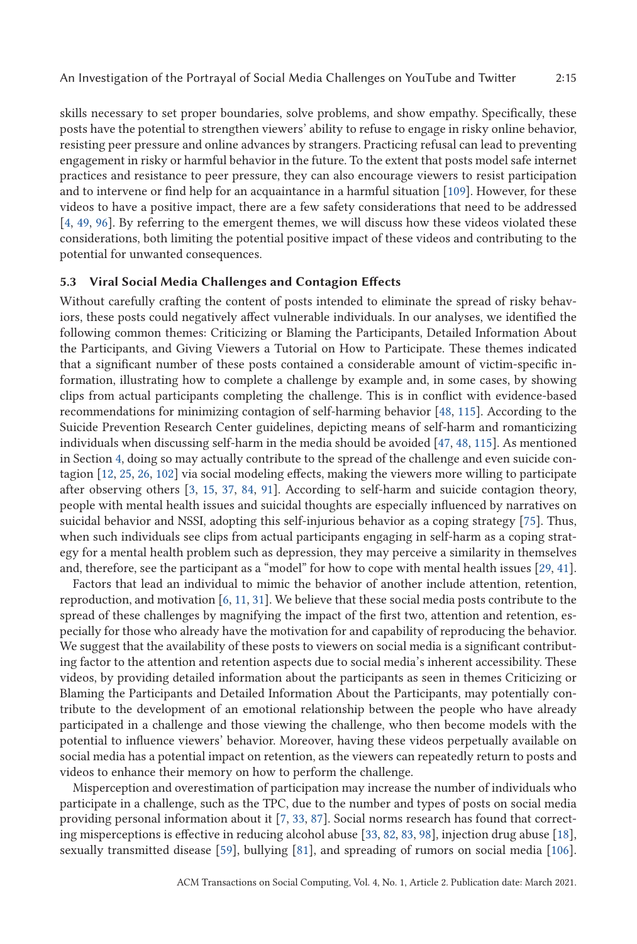skills necessary to set proper boundaries, solve problems, and show empathy. Specifically, these posts have the potential to strengthen viewers' ability to refuse to engage in risky online behavior, resisting peer pressure and online advances by strangers. Practicing refusal can lead to preventing engagement in risky or harmful behavior in the future. To the extent that posts model safe internet practices and resistance to peer pressure, they can also encourage viewers to resist participation and to intervene or find help for an acquaintance in a harmful situation [\[109\]](#page-22-0). However, for these videos to have a positive impact, there are a few safety considerations that need to be addressed [\[4,](#page-18-0) [49,](#page-20-0) [96\]](#page-22-0). By referring to the emergent themes, we will discuss how these videos violated these considerations, both limiting the potential positive impact of these videos and contributing to the potential for unwanted consequences.

## **5.3 Viral Social Media Challenges and Contagion Effects**

Without carefully crafting the content of posts intended to eliminate the spread of risky behaviors, these posts could negatively affect vulnerable individuals. In our analyses, we identified the following common themes: Criticizing or Blaming the Participants, Detailed Information About the Participants, and Giving Viewers a Tutorial on How to Participate. These themes indicated that a significant number of these posts contained a considerable amount of victim-specific information, illustrating how to complete a challenge by example and, in some cases, by showing clips from actual participants completing the challenge. This is in conflict with evidence-based recommendations for minimizing contagion of self-harming behavior [\[48,](#page-20-0) [115\]](#page-22-0). According to the Suicide Prevention Research Center guidelines, depicting means of self-harm and romanticizing individuals when discussing self-harm in the media should be avoided [\[47,](#page-20-0) [48,](#page-20-0) [115\]](#page-22-0). As mentioned in Section [4,](#page-6-0) doing so may actually contribute to the spread of the challenge and even suicide contagion [\[12,](#page-18-0) [25,](#page-19-0) [26,](#page-19-0) [102\]](#page-22-0) via social modeling effects, making the viewers more willing to participate after observing others [\[3,](#page-18-0) [15,](#page-18-0) [37,](#page-19-0) [84,](#page-21-0) [91\]](#page-22-0). According to self-harm and suicide contagion theory, people with mental health issues and suicidal thoughts are especially influenced by narratives on suicidal behavior and NSSI, adopting this self-injurious behavior as a coping strategy [\[75\]](#page-21-0). Thus, when such individuals see clips from actual participants engaging in self-harm as a coping strategy for a mental health problem such as depression, they may perceive a similarity in themselves and, therefore, see the participant as a "model" for how to cope with mental health issues [\[29,](#page-19-0) [41\]](#page-19-0).

Factors that lead an individual to mimic the behavior of another include attention, retention, reproduction, and motivation [\[6,](#page-18-0) [11,](#page-18-0) [31\]](#page-19-0). We believe that these social media posts contribute to the spread of these challenges by magnifying the impact of the first two, attention and retention, especially for those who already have the motivation for and capability of reproducing the behavior. We suggest that the availability of these posts to viewers on social media is a significant contributing factor to the attention and retention aspects due to social media's inherent accessibility. These videos, by providing detailed information about the participants as seen in themes Criticizing or Blaming the Participants and Detailed Information About the Participants, may potentially contribute to the development of an emotional relationship between the people who have already participated in a challenge and those viewing the challenge, who then become models with the potential to influence viewers' behavior. Moreover, having these videos perpetually available on social media has a potential impact on retention, as the viewers can repeatedly return to posts and videos to enhance their memory on how to perform the challenge.

Misperception and overestimation of participation may increase the number of individuals who participate in a challenge, such as the TPC, due to the number and types of posts on social media providing personal information about it [\[7,](#page-18-0) [33,](#page-19-0) [87\]](#page-21-0). Social norms research has found that correcting misperceptions is effective in reducing alcohol abuse [\[33,](#page-19-0) [82,](#page-21-0) [83,](#page-21-0) [98\]](#page-22-0), injection drug abuse [\[18\]](#page-19-0), sexually transmitted disease [\[59\]](#page-20-0), bullying [\[81\]](#page-21-0), and spreading of rumors on social media [\[106\]](#page-22-0).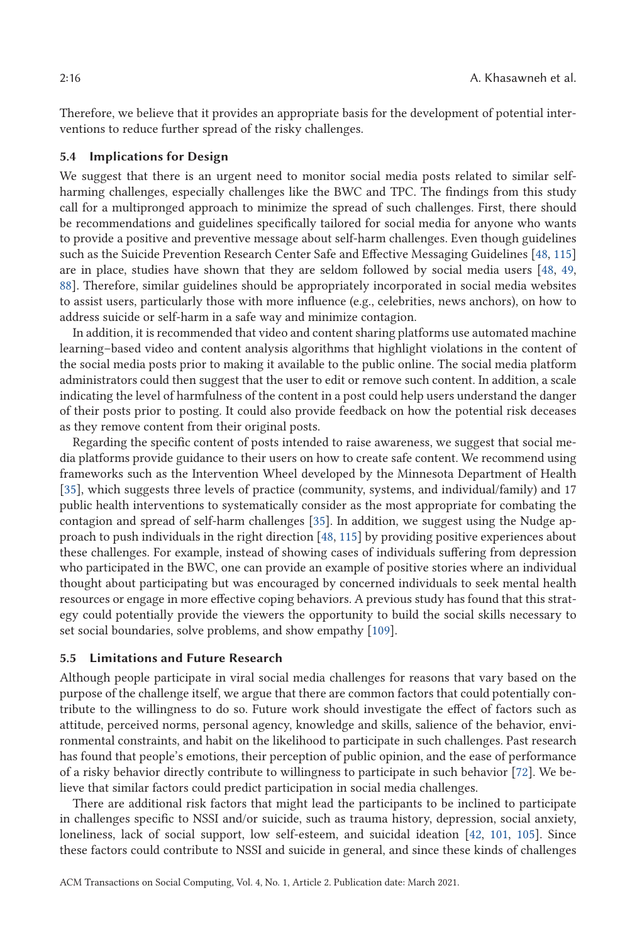Therefore, we believe that it provides an appropriate basis for the development of potential interventions to reduce further spread of the risky challenges.

#### **5.4 Implications for Design**

We suggest that there is an urgent need to monitor social media posts related to similar selfharming challenges, especially challenges like the BWC and TPC. The findings from this study call for a multipronged approach to minimize the spread of such challenges. First, there should be recommendations and guidelines specifically tailored for social media for anyone who wants to provide a positive and preventive message about self-harm challenges. Even though guidelines such as the Suicide Prevention Research Center Safe and Effective Messaging Guidelines [\[48,](#page-20-0) [115\]](#page-22-0) are in place, studies have shown that they are seldom followed by social media users [\[48,](#page-20-0) [49,](#page-20-0) [88\]](#page-21-0). Therefore, similar guidelines should be appropriately incorporated in social media websites to assist users, particularly those with more influence (e.g., celebrities, news anchors), on how to address suicide or self-harm in a safe way and minimize contagion.

In addition, it is recommended that video and content sharing platforms use automated machine learning–based video and content analysis algorithms that highlight violations in the content of the social media posts prior to making it available to the public online. The social media platform administrators could then suggest that the user to edit or remove such content. In addition, a scale indicating the level of harmfulness of the content in a post could help users understand the danger of their posts prior to posting. It could also provide feedback on how the potential risk deceases as they remove content from their original posts.

Regarding the specific content of posts intended to raise awareness, we suggest that social media platforms provide guidance to their users on how to create safe content. We recommend using frameworks such as the Intervention Wheel developed by the Minnesota Department of Health [\[35\]](#page-19-0), which suggests three levels of practice (community, systems, and individual/family) and 17 public health interventions to systematically consider as the most appropriate for combating the contagion and spread of self-harm challenges [\[35\]](#page-19-0). In addition, we suggest using the Nudge approach to push individuals in the right direction [\[48,](#page-20-0) [115\]](#page-22-0) by providing positive experiences about these challenges. For example, instead of showing cases of individuals suffering from depression who participated in the BWC, one can provide an example of positive stories where an individual thought about participating but was encouraged by concerned individuals to seek mental health resources or engage in more effective coping behaviors. A previous study has found that this strategy could potentially provide the viewers the opportunity to build the social skills necessary to set social boundaries, solve problems, and show empathy [\[109\]](#page-22-0).

## **5.5 Limitations and Future Research**

Although people participate in viral social media challenges for reasons that vary based on the purpose of the challenge itself, we argue that there are common factors that could potentially contribute to the willingness to do so. Future work should investigate the effect of factors such as attitude, perceived norms, personal agency, knowledge and skills, salience of the behavior, environmental constraints, and habit on the likelihood to participate in such challenges. Past research has found that people's emotions, their perception of public opinion, and the ease of performance of a risky behavior directly contribute to willingness to participate in such behavior [\[72\]](#page-21-0). We believe that similar factors could predict participation in social media challenges.

There are additional risk factors that might lead the participants to be inclined to participate in challenges specific to NSSI and/or suicide, such as trauma history, depression, social anxiety, loneliness, lack of social support, low self-esteem, and suicidal ideation [\[42,](#page-19-0) [101,](#page-22-0) [105\]](#page-22-0). Since these factors could contribute to NSSI and suicide in general, and since these kinds of challenges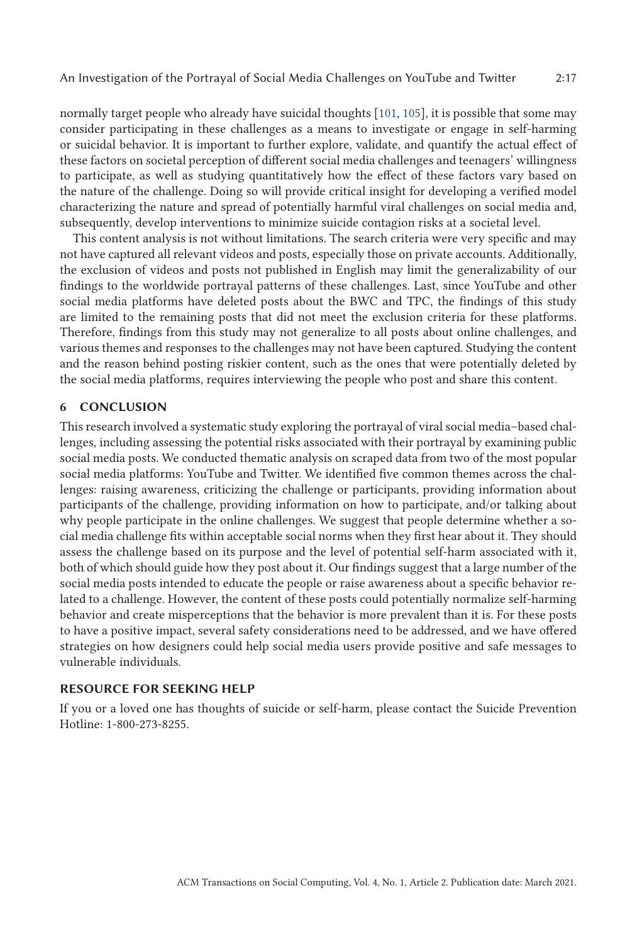normally target people who already have suicidal thoughts [\[101,](#page-22-0) [105\]](#page-22-0), it is possible that some may consider participating in these challenges as a means to investigate or engage in self-harming or suicidal behavior. It is important to further explore, validate, and quantify the actual effect of these factors on societal perception of different social media challenges and teenagers' willingness to participate, as well as studying quantitatively how the effect of these factors vary based on the nature of the challenge. Doing so will provide critical insight for developing a verified model characterizing the nature and spread of potentially harmful viral challenges on social media and, subsequently, develop interventions to minimize suicide contagion risks at a societal level.

This content analysis is not without limitations. The search criteria were very specific and may not have captured all relevant videos and posts, especially those on private accounts. Additionally, the exclusion of videos and posts not published in English may limit the generalizability of our findings to the worldwide portrayal patterns of these challenges. Last, since YouTube and other social media platforms have deleted posts about the BWC and TPC, the findings of this study are limited to the remaining posts that did not meet the exclusion criteria for these platforms. Therefore, findings from this study may not generalize to all posts about online challenges, and various themes and responses to the challenges may not have been captured. Studying the content and the reason behind posting riskier content, such as the ones that were potentially deleted by the social media platforms, requires interviewing the people who post and share this content.

## **6 CONCLUSION**

This research involved a systematic study exploring the portrayal of viral social media–based challenges, including assessing the potential risks associated with their portrayal by examining public social media posts. We conducted thematic analysis on scraped data from two of the most popular social media platforms: YouTube and Twitter. We identified five common themes across the challenges: raising awareness, criticizing the challenge or participants, providing information about participants of the challenge, providing information on how to participate, and/or talking about why people participate in the online challenges. We suggest that people determine whether a social media challenge fits within acceptable social norms when they first hear about it. They should assess the challenge based on its purpose and the level of potential self-harm associated with it, both of which should guide how they post about it. Our findings suggest that a large number of the social media posts intended to educate the people or raise awareness about a specific behavior related to a challenge. However, the content of these posts could potentially normalize self-harming behavior and create misperceptions that the behavior is more prevalent than it is. For these posts to have a positive impact, several safety considerations need to be addressed, and we have offered strategies on how designers could help social media users provide positive and safe messages to vulnerable individuals.

#### **RESOURCE FOR SEEKING HELP**

If you or a loved one has thoughts of suicide or self-harm, please contact the Suicide Prevention Hotline: 1-800-273-8255.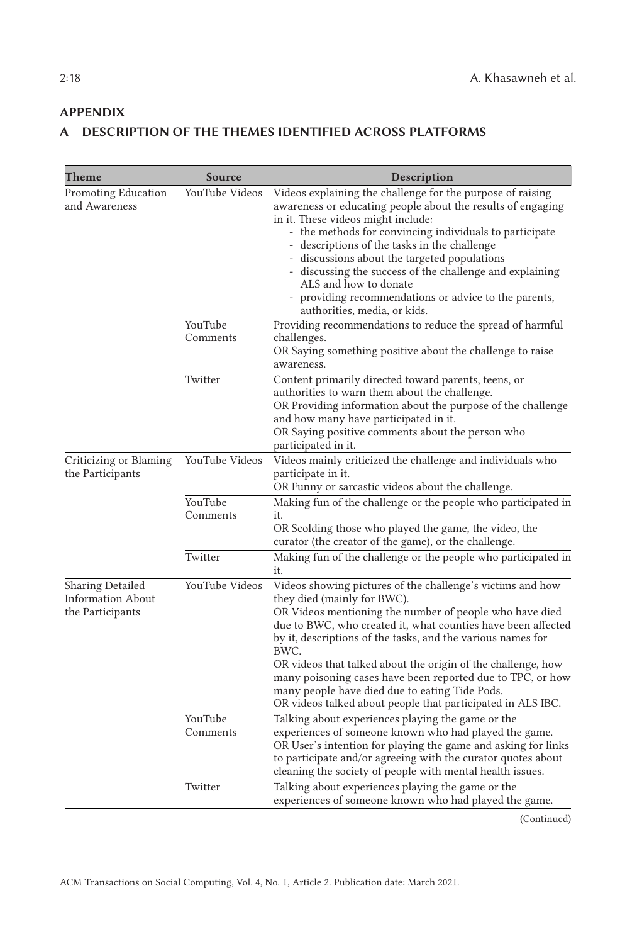# <span id="page-17-0"></span>**APPENDIX**

# **A DESCRIPTION OF THE THEMES IDENTIFIED ACROSS PLATFORMS**

| Theme                                                            | Source              | Description                                                                                                                                                                                                                                                                                                                                                                                                                                                                                                                                |
|------------------------------------------------------------------|---------------------|--------------------------------------------------------------------------------------------------------------------------------------------------------------------------------------------------------------------------------------------------------------------------------------------------------------------------------------------------------------------------------------------------------------------------------------------------------------------------------------------------------------------------------------------|
| Promoting Education<br>and Awareness                             | YouTube Videos      | Videos explaining the challenge for the purpose of raising<br>awareness or educating people about the results of engaging<br>in it. These videos might include:<br>- the methods for convincing individuals to participate<br>- descriptions of the tasks in the challenge<br>- discussions about the targeted populations<br>- discussing the success of the challenge and explaining<br>ALS and how to donate<br>providing recommendations or advice to the parents,<br>authorities, media, or kids.                                     |
|                                                                  | YouTube<br>Comments | Providing recommendations to reduce the spread of harmful<br>challenges.<br>OR Saying something positive about the challenge to raise<br>awareness.                                                                                                                                                                                                                                                                                                                                                                                        |
|                                                                  | Twitter             | Content primarily directed toward parents, teens, or<br>authorities to warn them about the challenge.<br>OR Providing information about the purpose of the challenge<br>and how many have participated in it.<br>OR Saying positive comments about the person who<br>participated in it.                                                                                                                                                                                                                                                   |
| Criticizing or Blaming<br>the Participants                       | YouTube Videos      | Videos mainly criticized the challenge and individuals who<br>participate in it.<br>OR Funny or sarcastic videos about the challenge.                                                                                                                                                                                                                                                                                                                                                                                                      |
|                                                                  | YouTube<br>Comments | Making fun of the challenge or the people who participated in<br>it.<br>OR Scolding those who played the game, the video, the<br>curator (the creator of the game), or the challenge.                                                                                                                                                                                                                                                                                                                                                      |
|                                                                  | Twitter             | Making fun of the challenge or the people who participated in<br>it.                                                                                                                                                                                                                                                                                                                                                                                                                                                                       |
| Sharing Detailed<br><b>Information About</b><br>the Participants | YouTube Videos      | Videos showing pictures of the challenge's victims and how<br>they died (mainly for BWC).<br>OR Videos mentioning the number of people who have died<br>due to BWC, who created it, what counties have been affected<br>by it, descriptions of the tasks, and the various names for<br>BWC.<br>OR videos that talked about the origin of the challenge, how<br>many poisoning cases have been reported due to TPC, or how<br>many people have died due to eating Tide Pods.<br>OR videos talked about people that participated in ALS IBC. |
|                                                                  | YouTube<br>Comments | Talking about experiences playing the game or the<br>experiences of someone known who had played the game.<br>OR User's intention for playing the game and asking for links<br>to participate and/or agreeing with the curator quotes about<br>cleaning the society of people with mental health issues.                                                                                                                                                                                                                                   |
|                                                                  | Twitter             | Talking about experiences playing the game or the<br>experiences of someone known who had played the game.                                                                                                                                                                                                                                                                                                                                                                                                                                 |

(Continued)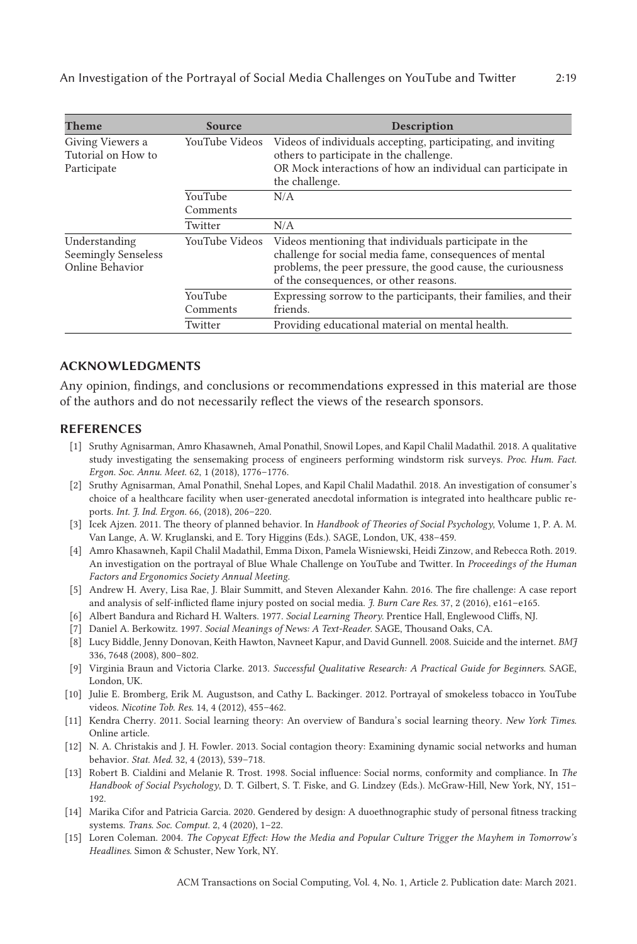<span id="page-18-0"></span>

| Theme                                                          | Source              | Description                                                                                                                                                                                                                |
|----------------------------------------------------------------|---------------------|----------------------------------------------------------------------------------------------------------------------------------------------------------------------------------------------------------------------------|
| Giving Viewers a<br>Tutorial on How to<br>Participate          | YouTube Videos      | Videos of individuals accepting, participating, and inviting<br>others to participate in the challenge.<br>OR Mock interactions of how an individual can participate in<br>the challenge.                                  |
|                                                                | YouTube<br>Comments | N/A                                                                                                                                                                                                                        |
|                                                                | Twitter             | N/A                                                                                                                                                                                                                        |
| Understanding<br><b>Seemingly Senseless</b><br>Online Behavior | YouTube Videos      | Videos mentioning that individuals participate in the<br>challenge for social media fame, consequences of mental<br>problems, the peer pressure, the good cause, the curiousness<br>of the consequences, or other reasons. |
|                                                                | YouTube<br>Comments | Expressing sorrow to the participants, their families, and their<br>friends.                                                                                                                                               |
|                                                                | Twitter             | Providing educational material on mental health.                                                                                                                                                                           |

## **ACKNOWLEDGMENTS**

Any opinion, findings, and conclusions or recommendations expressed in this material are those of the authors and do not necessarily reflect the views of the research sponsors.

#### **REFERENCES**

- [1] Sruthy Agnisarman, Amro Khasawneh, Amal Ponathil, Snowil Lopes, and Kapil Chalil Madathil. 2018. A qualitative study investigating the sensemaking process of engineers performing windstorm risk surveys. *Proc. Hum. Fact. Ergon. Soc. Annu. Meet.* 62, 1 (2018), 1776–1776.
- [2] Sruthy Agnisarman, Amal Ponathil, Snehal Lopes, and Kapil Chalil Madathil. 2018. An investigation of consumer's choice of a healthcare facility when user-generated anecdotal information is integrated into healthcare public reports. *Int. J. Ind. Ergon.* 66, (2018), 206–220.
- [3] Icek Ajzen. 2011. The theory of planned behavior. In *Handbook of Theories of Social Psychology*, Volume 1, P. A. M. Van Lange, A. W. Kruglanski, and E. Tory Higgins (Eds.). SAGE, London, UK, 438–459.
- [4] Amro Khasawneh, Kapil Chalil Madathil, Emma Dixon, Pamela Wisniewski, Heidi Zinzow, and Rebecca Roth. 2019. An investigation on the portrayal of Blue Whale Challenge on YouTube and Twitter. In *Proceedings of the Human Factors and Ergonomics Society Annual Meeting*.
- [5] Andrew H. Avery, Lisa Rae, J. Blair Summitt, and Steven Alexander Kahn. 2016. The fire challenge: A case report and analysis of self-inflicted flame injury posted on social media. *J. Burn Care Res.* 37, 2 (2016), e161–e165.
- [6] Albert Bandura and Richard H. Walters. 1977. *Social Learning Theory*. Prentice Hall, Englewood Cliffs, NJ.
- [7] Daniel A. Berkowitz. 1997. *Social Meanings of News: A Text-Reader*. SAGE, Thousand Oaks, CA.
- [8] Lucy Biddle, Jenny Donovan, Keith Hawton, Navneet Kapur, and David Gunnell. 2008. Suicide and the internet. *BMJ* 336, 7648 (2008), 800–802.
- [9] Virginia Braun and Victoria Clarke. 2013. *Successful Qualitative Research: A Practical Guide for Beginners*. SAGE, London, UK.
- [10] Julie E. Bromberg, Erik M. Augustson, and Cathy L. Backinger. 2012. Portrayal of smokeless tobacco in YouTube videos. *Nicotine Tob. Res.* 14, 4 (2012), 455–462.
- [11] Kendra Cherry. 2011. Social learning theory: An overview of Bandura's social learning theory. *New York Times.* Online article.
- [12] N. A. Christakis and J. H. Fowler. 2013. Social contagion theory: Examining dynamic social networks and human behavior. *Stat. Med.* 32, 4 (2013), 539–718.
- [13] Robert B. Cialdini and Melanie R. Trost. 1998. Social influence: Social norms, conformity and compliance. In *The Handbook of Social Psychology*, D. T. Gilbert, S. T. Fiske, and G. Lindzey (Eds.). McGraw-Hill, New York, NY, 151– 192.
- [14] Marika Cifor and Patricia Garcia. 2020. Gendered by design: A duoethnographic study of personal fitness tracking systems. *Trans. Soc. Comput.* 2, 4 (2020), 1–22.
- [15] Loren Coleman. 2004. *The Copycat Effect: How the Media and Popular Culture Trigger the Mayhem in Tomorrow's Headlines*. Simon & Schuster, New York, NY.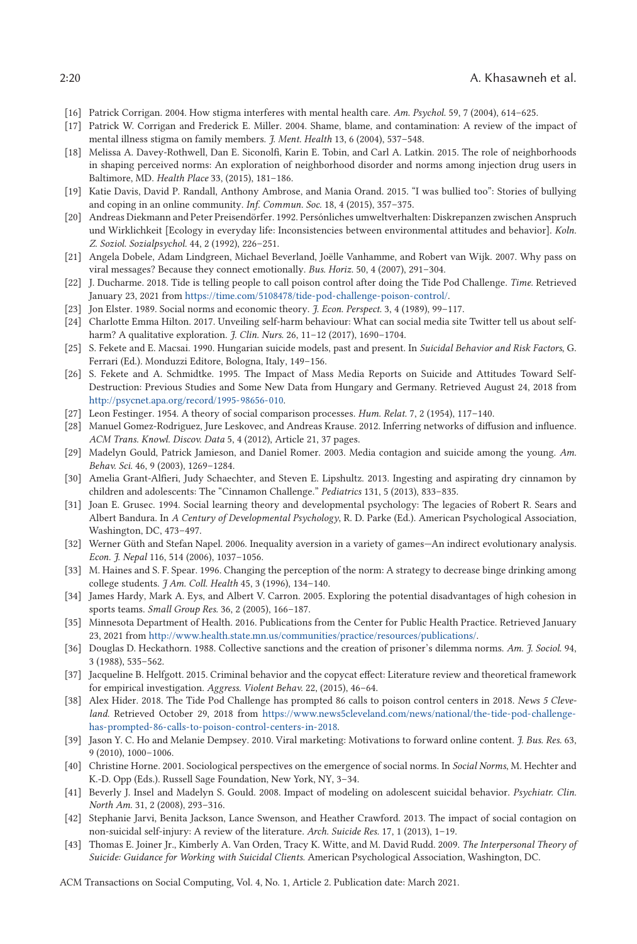- <span id="page-19-0"></span>[16] Patrick Corrigan. 2004. How stigma interferes with mental health care. *Am. Psychol.* 59, 7 (2004), 614–625.
- [17] Patrick W. Corrigan and Frederick E. Miller. 2004. Shame, blame, and contamination: A review of the impact of mental illness stigma on family members. *J. Ment. Health* 13, 6 (2004), 537–548.
- [18] Melissa A. Davey-Rothwell, Dan E. Siconolfi, Karin E. Tobin, and Carl A. Latkin. 2015. The role of neighborhoods in shaping perceived norms: An exploration of neighborhood disorder and norms among injection drug users in Baltimore, MD. *Health Place* 33, (2015), 181–186.
- [19] Katie Davis, David P. Randall, Anthony Ambrose, and Mania Orand. 2015. "I was bullied too": Stories of bullying and coping in an online community. *Inf. Commun. Soc.* 18, 4 (2015), 357–375.
- [20] Andreas Diekmann and Peter Preisendörfer. 1992. Persónliches umweltverhalten: Diskrepanzen zwischen Anspruch und Wirklichkeit [Ecology in everyday life: Inconsistencies between environmental attitudes and behavior]. *Koln. Z. Soziol. Sozialpsychol.* 44, 2 (1992), 226–251.
- [21] Angela Dobele, Adam Lindgreen, Michael Beverland, Joëlle Vanhamme, and Robert van Wijk. 2007. Why pass on viral messages? Because they connect emotionally. *Bus. Horiz.* 50, 4 (2007), 291–304.
- [22] J. Ducharme. 2018. Tide is telling people to call poison control after doing the Tide Pod Challenge. *Time*. Retrieved January 23, 2021 from [https://time.com/5108478/tide-pod-challenge-poison-control/.](https://time.com/5108478/tide-pod-challenge-poison-control/)
- [23] Jon Elster. 1989. Social norms and economic theory. *J. Econ. Perspect.* 3, 4 (1989), 99–117.
- [24] Charlotte Emma Hilton. 2017. Unveiling self-harm behaviour: What can social media site Twitter tell us about selfharm? A qualitative exploration. *J. Clin. Nurs.* 26, 11–12 (2017), 1690–1704.
- [25] S. Fekete and E. Macsai. 1990. Hungarian suicide models, past and present. In *Suicidal Behavior and Risk Factors*, G. Ferrari (Ed.). Monduzzi Editore, Bologna, Italy, 149–156.
- [26] S. Fekete and A. Schmidtke. 1995. The Impact of Mass Media Reports on Suicide and Attitudes Toward Self-Destruction: Previous Studies and Some New Data from Hungary and Germany. Retrieved August 24, 2018 from [http://psycnet.apa.org/record/1995-98656-010.](http://psycnet.apa.org/record/1995-98656-010)
- [27] Leon Festinger. 1954. A theory of social comparison processes. *Hum. Relat.* 7, 2 (1954), 117–140.
- [28] Manuel Gomez-Rodriguez, Jure Leskovec, and Andreas Krause. 2012. Inferring networks of diffusion and influence. *ACM Trans. Knowl. Discov. Data* 5, 4 (2012), Article 21, 37 pages.
- [29] Madelyn Gould, Patrick Jamieson, and Daniel Romer. 2003. Media contagion and suicide among the young. *Am. Behav. Sci.* 46, 9 (2003), 1269–1284.
- [30] Amelia Grant-Alfieri, Judy Schaechter, and Steven E. Lipshultz. 2013. Ingesting and aspirating dry cinnamon by children and adolescents: The "Cinnamon Challenge." *Pediatrics* 131, 5 (2013), 833–835.
- [31] Joan E. Grusec. 1994. Social learning theory and developmental psychology: The legacies of Robert R. Sears and Albert Bandura. In *A Century of Developmental Psychology*, R. D. Parke (Ed.). American Psychological Association, Washington, DC, 473–497.
- [32] Werner Güth and Stefan Napel. 2006. Inequality aversion in a variety of games—An indirect evolutionary analysis. *Econ. J. Nepal* 116, 514 (2006), 1037–1056.
- [33] M. Haines and S. F. Spear. 1996. Changing the perception of the norm: A strategy to decrease binge drinking among college students. *J Am. Coll. Health* 45, 3 (1996), 134–140.
- [34] James Hardy, Mark A. Eys, and Albert V. Carron. 2005. Exploring the potential disadvantages of high cohesion in sports teams. *Small Group Res.* 36, 2 (2005), 166–187.
- [35] Minnesota Department of Health. 2016. Publications from the Center for Public Health Practice. Retrieved January 23, 2021 from [http://www.health.state.mn.us/communities/practice/resources/publications/.](http://www.health.state.mn.us/communities/practice/resources/publications/)
- [36] Douglas D. Heckathorn. 1988. Collective sanctions and the creation of prisoner's dilemma norms. *Am. J. Sociol.* 94, 3 (1988), 535–562.
- [37] Jacqueline B. Helfgott. 2015. Criminal behavior and the copycat effect: Literature review and theoretical framework for empirical investigation. *Aggress. Violent Behav.* 22, (2015), 46–64.
- [38] Alex Hider. 2018. The Tide Pod Challenge has prompted 86 calls to poison control centers in 2018. *News 5 Cleveland*. Retrieved October 29, 2018 from [https://www.news5cleveland.com/news/national/the-tide-pod-challenge](https://www.news5cleveland.com/news/national/the-tide-pod-challenge-has-prompted-86-calls-to-poison-control-centers-in-2018)[has-prompted-86-calls-to-poison-control-centers-in-2018.](https://www.news5cleveland.com/news/national/the-tide-pod-challenge-has-prompted-86-calls-to-poison-control-centers-in-2018)
- [39] Jason Y. C. Ho and Melanie Dempsey. 2010. Viral marketing: Motivations to forward online content. *J. Bus. Res.* 63, 9 (2010), 1000–1006.
- [40] Christine Horne. 2001. Sociological perspectives on the emergence of social norms. In *Social Norms*, M. Hechter and K.-D. Opp (Eds.). Russell Sage Foundation, New York, NY, 3–34.
- [41] Beverly J. Insel and Madelyn S. Gould. 2008. Impact of modeling on adolescent suicidal behavior. *Psychiatr. Clin. North Am.* 31, 2 (2008), 293–316.
- [42] Stephanie Jarvi, Benita Jackson, Lance Swenson, and Heather Crawford. 2013. The impact of social contagion on non-suicidal self-injury: A review of the literature. *Arch. Suicide Res.* 17, 1 (2013), 1–19.
- [43] Thomas E. Joiner Jr., Kimberly A. Van Orden, Tracy K. Witte, and M. David Rudd. 2009. *The Interpersonal Theory of Suicide: Guidance for Working with Suicidal Clients*. American Psychological Association, Washington, DC.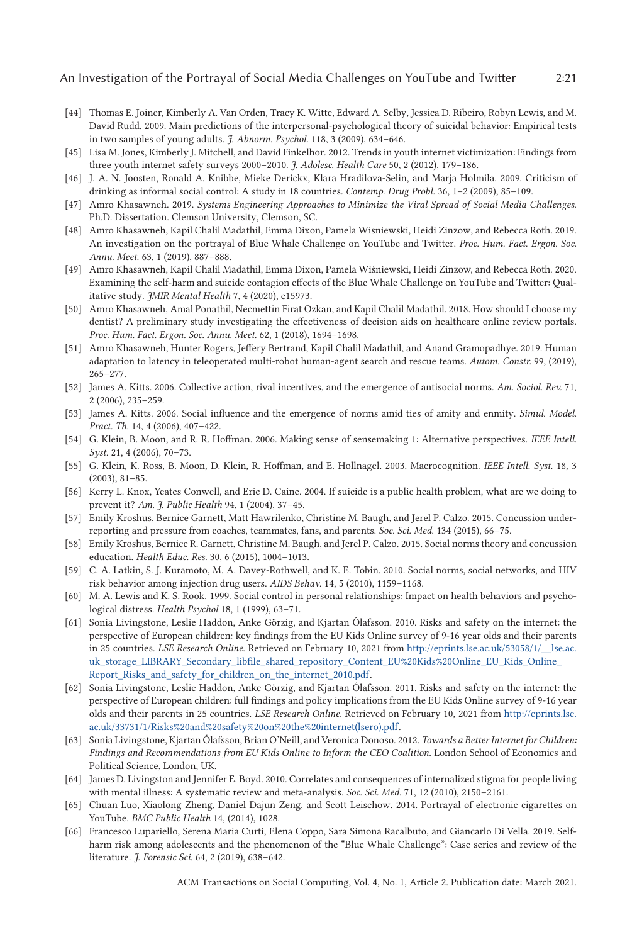- <span id="page-20-0"></span>[44] Thomas E. Joiner, Kimberly A. Van Orden, Tracy K. Witte, Edward A. Selby, Jessica D. Ribeiro, Robyn Lewis, and M. David Rudd. 2009. Main predictions of the interpersonal-psychological theory of suicidal behavior: Empirical tests in two samples of young adults. *J. Abnorm. Psychol.* 118, 3 (2009), 634–646.
- [45] Lisa M. Jones, Kimberly J. Mitchell, and David Finkelhor. 2012. Trends in youth internet victimization: Findings from three youth internet safety surveys 2000–2010. *J. Adolesc. Health Care* 50, 2 (2012), 179–186.
- [46] J. A. N. Joosten, Ronald A. Knibbe, Mieke Derickx, Klara Hradilova-Selin, and Marja Holmila. 2009. Criticism of drinking as informal social control: A study in 18 countries. *Contemp. Drug Probl.* 36, 1–2 (2009), 85–109.
- [47] Amro Khasawneh. 2019. *Systems Engineering Approaches to Minimize the Viral Spread of Social Media Challenges*. Ph.D. Dissertation. Clemson University, Clemson, SC.
- [48] Amro Khasawneh, Kapil Chalil Madathil, Emma Dixon, Pamela Wisniewski, Heidi Zinzow, and Rebecca Roth. 2019. An investigation on the portrayal of Blue Whale Challenge on YouTube and Twitter. *Proc. Hum. Fact. Ergon. Soc. Annu. Meet.* 63, 1 (2019), 887–888.
- [49] Amro Khasawneh, Kapil Chalil Madathil, Emma Dixon, Pamela Wiśniewski, Heidi Zinzow, and Rebecca Roth. 2020. Examining the self-harm and suicide contagion effects of the Blue Whale Challenge on YouTube and Twitter: Qualitative study. *JMIR Mental Health* 7, 4 (2020), e15973.
- [50] Amro Khasawneh, Amal Ponathil, Necmettin Firat Ozkan, and Kapil Chalil Madathil. 2018. How should I choose my dentist? A preliminary study investigating the effectiveness of decision aids on healthcare online review portals. *Proc. Hum. Fact. Ergon. Soc. Annu. Meet.* 62, 1 (2018), 1694–1698.
- [51] Amro Khasawneh, Hunter Rogers, Jeffery Bertrand, Kapil Chalil Madathil, and Anand Gramopadhye. 2019. Human adaptation to latency in teleoperated multi-robot human-agent search and rescue teams. *Autom. Constr.* 99, (2019), 265–277.
- [52] James A. Kitts. 2006. Collective action, rival incentives, and the emergence of antisocial norms. *Am. Sociol. Rev.* 71, 2 (2006), 235–259.
- [53] James A. Kitts. 2006. Social influence and the emergence of norms amid ties of amity and enmity. *Simul. Model. Pract. Th.* 14, 4 (2006), 407–422.
- [54] G. Klein, B. Moon, and R. R. Hoffman. 2006. Making sense of sensemaking 1: Alternative perspectives. *IEEE Intell. Syst.* 21, 4 (2006), 70–73.
- [55] G. Klein, K. Ross, B. Moon, D. Klein, R. Hoffman, and E. Hollnagel. 2003. Macrocognition. *IEEE Intell. Syst.* 18, 3 (2003), 81–85.
- [56] Kerry L. Knox, Yeates Conwell, and Eric D. Caine. 2004. If suicide is a public health problem, what are we doing to prevent it? *Am. J. Public Health* 94, 1 (2004), 37–45.
- [57] Emily Kroshus, Bernice Garnett, Matt Hawrilenko, Christine M. Baugh, and Jerel P. Calzo. 2015. Concussion underreporting and pressure from coaches, teammates, fans, and parents. *Soc. Sci. Med.* 134 (2015), 66–75.
- [58] Emily Kroshus, Bernice R. Garnett, Christine M. Baugh, and Jerel P. Calzo. 2015. Social norms theory and concussion education. *Health Educ. Res.* 30, 6 (2015), 1004–1013.
- [59] C. A. Latkin, S. J. Kuramoto, M. A. Davey-Rothwell, and K. E. Tobin. 2010. Social norms, social networks, and HIV risk behavior among injection drug users. *AIDS Behav.* 14, 5 (2010), 1159–1168.
- [60] M. A. Lewis and K. S. Rook. 1999. Social control in personal relationships: Impact on health behaviors and psychological distress. *Health Psychol* 18, 1 (1999), 63–71.
- [61] Sonia Livingstone, Leslie Haddon, Anke Görzig, and Kjartan Ólafsson. 2010. Risks and safety on the internet: the perspective of European children: key findings from the EU Kids Online survey of 9-16 year olds and their parents in 25 countries. *LSE Research Online*. Retrieved on February 10, 2021 from [http://eprints.lse.ac.uk/53058/1/\\_\\_lse.ac.](http://eprints.lse.ac.uk/53058/1/__lse.ac.uk_storage_LIBRARY_Secondary_libfile_shared_repository_Content_EU%20Kids%20Online_EU_Kids_Online_Report_Risks_and_safety_for_children_on_the_internet_2010.pdf) [uk\\_storage\\_LIBRARY\\_Secondary\\_libfile\\_shared\\_repository\\_Content\\_EU%20Kids%20Online\\_EU\\_Kids\\_Online\\_](http://eprints.lse.ac.uk/53058/1/__lse.ac.uk_storage_LIBRARY_Secondary_libfile_shared_repository_Content_EU%20Kids%20Online_EU_Kids_Online_Report_Risks_and_safety_for_children_on_the_internet_2010.pdf) [Report\\_Risks\\_and\\_safety\\_for\\_children\\_on\\_the\\_internet\\_2010.pdf.](http://eprints.lse.ac.uk/53058/1/__lse.ac.uk_storage_LIBRARY_Secondary_libfile_shared_repository_Content_EU%20Kids%20Online_EU_Kids_Online_Report_Risks_and_safety_for_children_on_the_internet_2010.pdf)
- [62] Sonia Livingstone, Leslie Haddon, Anke Görzig, and Kjartan Ólafsson. 2011. Risks and safety on the internet: the perspective of European children: full findings and policy implications from the EU Kids Online survey of 9-16 year olds and their parents in 25 countries. *LSE Research Online*. Retrieved on February 10, 2021 from [http://eprints.lse.](http://eprints.lse.ac.uk/33731/1/Risks%20and%20safety%20on%20the%20internet(lsero).pdf) [ac.uk/33731/1/Risks%20and%20safety%20on%20the%20internet\(lsero\).pdf.](http://eprints.lse.ac.uk/33731/1/Risks%20and%20safety%20on%20the%20internet(lsero).pdf)
- [63] Sonia Livingstone, Kjartan Ólafsson, Brian O'Neill, and Veronica Donoso. 2012. *Towards a Better Internet for Children: Findings and Recommendations from EU Kids Online to Inform the CEO Coalition*. London School of Economics and Political Science, London, UK.
- [64] James D. Livingston and Jennifer E. Boyd. 2010. Correlates and consequences of internalized stigma for people living with mental illness: A systematic review and meta-analysis. *Soc. Sci. Med.* 71, 12 (2010), 2150–2161.
- [65] Chuan Luo, Xiaolong Zheng, Daniel Dajun Zeng, and Scott Leischow. 2014. Portrayal of electronic cigarettes on YouTube. *BMC Public Health* 14, (2014), 1028.
- [66] Francesco Lupariello, Serena Maria Curti, Elena Coppo, Sara Simona Racalbuto, and Giancarlo Di Vella. 2019. Selfharm risk among adolescents and the phenomenon of the "Blue Whale Challenge": Case series and review of the literature. *J. Forensic Sci.* 64, 2 (2019), 638–642.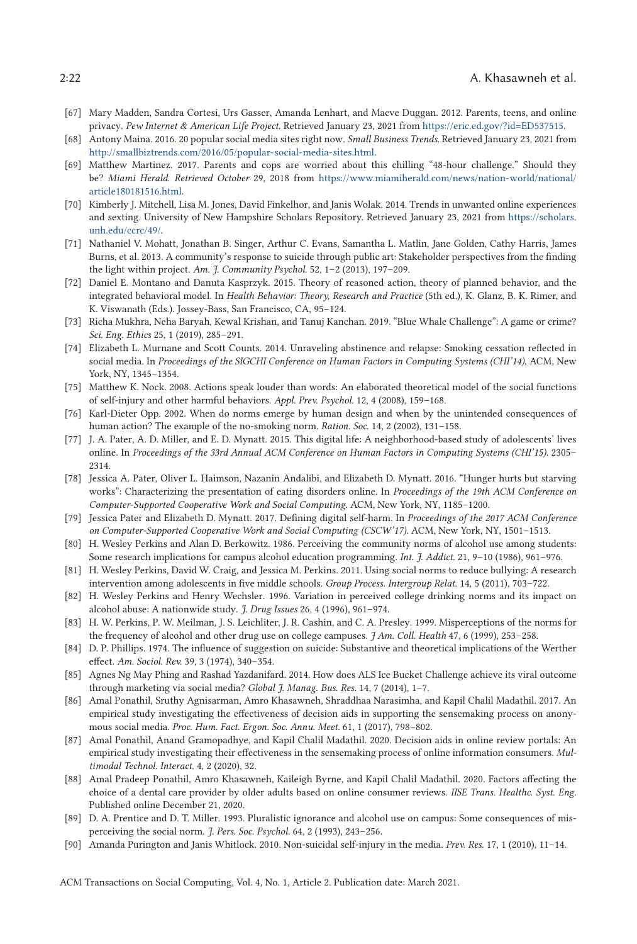- <span id="page-21-0"></span>[67] Mary Madden, Sandra Cortesi, Urs Gasser, Amanda Lenhart, and Maeve Duggan. 2012. Parents, teens, and online privacy. *Pew Internet & American Life Project*. Retrieved January 23, 2021 from [https://eric.ed.gov/?id=ED537515.](https://eric.ed.gov/egingroup count@ "003F
elax 
elax uccode `unhbox voidb@x group let unhbox voidb@x setbox @tempboxa hbox {count@ global mathchardef accent@spacefactor spacefactor }accent 3 count@ egroup spacefactor accent@spacefactor uppercase {gdef $=${{char )
- [68] Antony Maina. 2016. 20 popular social media sites right now. *Small Business Trends.* Retrieved January 23, 2021 from [http://smallbiztrends.com/2016/05/popular-social-media-sites.html.](http://smallbiztrends.com/2016/05/popular-social-media-sites.html)
- [69] Matthew Martinez. 2017. Parents and cops are worried about this chilling "48-hour challenge." Should they be? *Miami Herald*. *Retrieved October* 29, 2018 from [https://www.miamiherald.com/news/nation-world/national/](https://www.miamiherald.com/news/nation-world/national/article180181516.html) [article180181516.html.](https://www.miamiherald.com/news/nation-world/national/article180181516.html)
- [70] Kimberly J. Mitchell, Lisa M. Jones, David Finkelhor, and Janis Wolak. 2014. Trends in unwanted online experiences and sexting. University of New Hampshire Scholars Repository. Retrieved January 23, 2021 from [https://scholars.](https://scholars.unh.edu/ccrc/49/) [unh.edu/ccrc/49/.](https://scholars.unh.edu/ccrc/49/)
- [71] Nathaniel V. Mohatt, Jonathan B. Singer, Arthur C. Evans, Samantha L. Matlin, Jane Golden, Cathy Harris, James Burns, et al. 2013. A community's response to suicide through public art: Stakeholder perspectives from the finding the light within project. *Am. J. Community Psychol.* 52, 1–2 (2013), 197–209.
- [72] Daniel E. Montano and Danuta Kasprzyk. 2015. Theory of reasoned action, theory of planned behavior, and the integrated behavioral model. In *Health Behavior: Theory, Research and Practice* (5th ed.), K. Glanz, B. K. Rimer, and K. Viswanath (Eds.). Jossey-Bass, San Francisco, CA, 95–124.
- [73] Richa Mukhra, Neha Baryah, Kewal Krishan, and Tanuj Kanchan. 2019. "Blue Whale Challenge": A game or crime? *Sci. Eng. Ethics* 25, 1 (2019), 285–291.
- [74] Elizabeth L. Murnane and Scott Counts. 2014. Unraveling abstinence and relapse: Smoking cessation reflected in social media. In *Proceedings of the SIGCHI Conference on Human Factors in Computing Systems (CHI'14)*, ACM, New York, NY, 1345–1354.
- [75] Matthew K. Nock. 2008. Actions speak louder than words: An elaborated theoretical model of the social functions of self-injury and other harmful behaviors. *Appl. Prev. Psychol.* 12, 4 (2008), 159–168.
- [76] Karl-Dieter Opp. 2002. When do norms emerge by human design and when by the unintended consequences of human action? The example of the no-smoking norm. *Ration. Soc.* 14, 2 (2002), 131–158.
- [77] J. A. Pater, A. D. Miller, and E. D. Mynatt. 2015. This digital life: A neighborhood-based study of adolescents' lives online. In *Proceedings of the 33rd Annual ACM Conference on Human Factors in Computing Systems (CHI'15)*. 2305– 2314.
- [78] Jessica A. Pater, Oliver L. Haimson, Nazanin Andalibi, and Elizabeth D. Mynatt. 2016. "Hunger hurts but starving works": Characterizing the presentation of eating disorders online. In *Proceedings of the 19th ACM Conference on Computer-Supported Cooperative Work and Social Computing*. ACM, New York, NY, 1185–1200.
- [79] Jessica Pater and Elizabeth D. Mynatt. 2017. Defining digital self-harm. In *Proceedings of the 2017 ACM Conference on Computer-Supported Cooperative Work and Social Computing (CSCW'17)*. ACM, New York, NY, 1501–1513.
- [80] H. Wesley Perkins and Alan D. Berkowitz. 1986. Perceiving the community norms of alcohol use among students: Some research implications for campus alcohol education programming. *Int. J. Addict.* 21, 9–10 (1986), 961–976.
- [81] H. Wesley Perkins, David W. Craig, and Jessica M. Perkins. 2011. Using social norms to reduce bullying: A research intervention among adolescents in five middle schools. *Group Process. Intergroup Relat.* 14, 5 (2011), 703–722.
- [82] H. Wesley Perkins and Henry Wechsler. 1996. Variation in perceived college drinking norms and its impact on alcohol abuse: A nationwide study. *J. Drug Issues* 26, 4 (1996), 961–974.
- [83] H. W. Perkins, P. W. Meilman, J. S. Leichliter, J. R. Cashin, and C. A. Presley. 1999. Misperceptions of the norms for the frequency of alcohol and other drug use on college campuses. *J Am. Coll. Health* 47, 6 (1999), 253–258.
- [84] D. P. Phillips. 1974. The influence of suggestion on suicide: Substantive and theoretical implications of the Werther effect. *Am. Sociol. Rev.* 39, 3 (1974), 340–354.
- [85] Agnes Ng May Phing and Rashad Yazdanifard. 2014. How does ALS Ice Bucket Challenge achieve its viral outcome through marketing via social media? *Global J. Manag. Bus. Res.* 14, 7 (2014), 1–7.
- [86] Amal Ponathil, Sruthy Agnisarman, Amro Khasawneh, Shraddhaa Narasimha, and Kapil Chalil Madathil. 2017. An empirical study investigating the effectiveness of decision aids in supporting the sensemaking process on anonymous social media. *Proc. Hum. Fact. Ergon. Soc. Annu. Meet.* 61, 1 (2017), 798–802.
- [87] Amal Ponathil, Anand Gramopadhye, and Kapil Chalil Madathil. 2020. Decision aids in online review portals: An empirical study investigating their effectiveness in the sensemaking process of online information consumers. *Multimodal Technol. Interact.* 4, 2 (2020), 32.
- [88] Amal Pradeep Ponathil, Amro Khasawneh, Kaileigh Byrne, and Kapil Chalil Madathil. 2020. Factors affecting the choice of a dental care provider by older adults based on online consumer reviews. *IISE Trans. Healthc. Syst. Eng.* Published online December 21, 2020.
- [89] D. A. Prentice and D. T. Miller. 1993. Pluralistic ignorance and alcohol use on campus: Some consequences of misperceiving the social norm. *J. Pers. Soc. Psychol.* 64, 2 (1993), 243–256.
- [90] Amanda Purington and Janis Whitlock. 2010. Non-suicidal self-injury in the media. *Prev. Res.* 17, 1 (2010), 11–14.